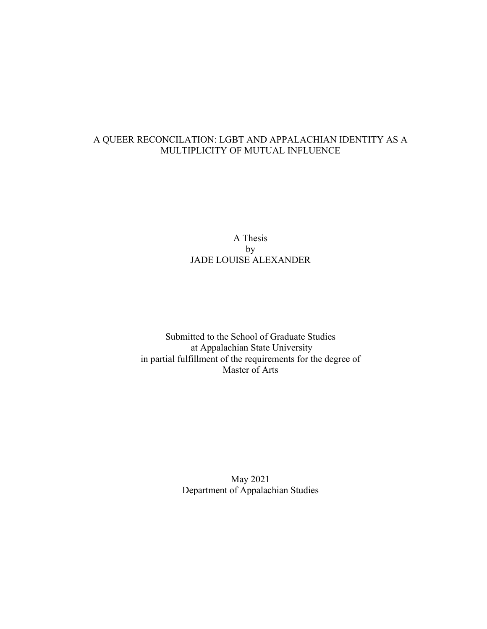# A QUEER RECONCILATION: LGBT AND APPALACHIAN IDENTITY AS A MULTIPLICITY OF MUTUAL INFLUENCE

# A Thesis by JADE LOUISE ALEXANDER

Submitted to the School of Graduate Studies at Appalachian State University in partial fulfillment of the requirements for the degree of Master of Arts

> May 2021 Department of Appalachian Studies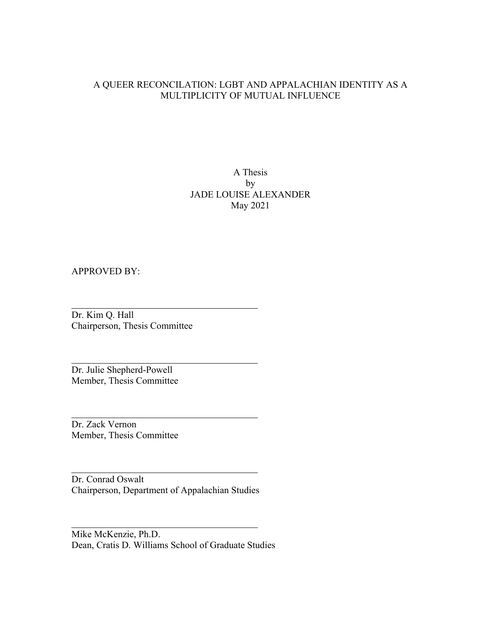# A QUEER RECONCILATION: LGBT AND APPALACHIAN IDENTITY AS A MULTIPLICITY OF MUTUAL INFLUENCE

A Thesis by JADE LOUISE ALEXANDER May 2021

## APPROVED BY:

Dr. Kim Q. Hall Chairperson, Thesis Committee

Dr. Julie Shepherd-Powell Member, Thesis Committee

Dr. Zack Vernon Member, Thesis Committee

Dr. Conrad Oswalt Chairperson, Department of Appalachian Studies

Mike McKenzie, Ph.D. Dean, Cratis D. Williams School of Graduate Studies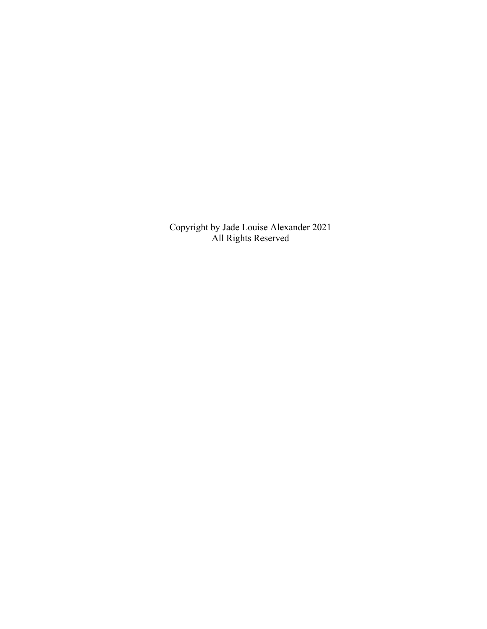Copyright by Jade Louise Alexander 2021 All Rights Reserved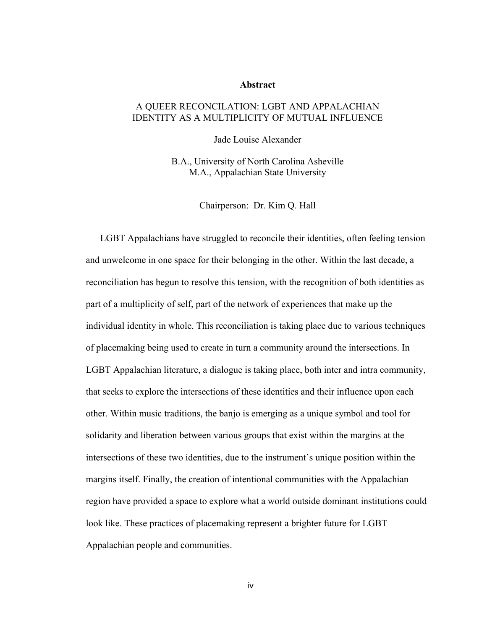#### **Abstract**

## A QUEER RECONCILATION: LGBT AND APPALACHIAN IDENTITY AS A MULTIPLICITY OF MUTUAL INFLUENCE

Jade Louise Alexander

B.A., University of North Carolina Asheville M.A., Appalachian State University

Chairperson: Dr. Kim Q. Hall

LGBT Appalachians have struggled to reconcile their identities, often feeling tension and unwelcome in one space for their belonging in the other. Within the last decade, a reconciliation has begun to resolve this tension, with the recognition of both identities as part of a multiplicity of self, part of the network of experiences that make up the individual identity in whole. This reconciliation is taking place due to various techniques of placemaking being used to create in turn a community around the intersections. In LGBT Appalachian literature, a dialogue is taking place, both inter and intra community, that seeks to explore the intersections of these identities and their influence upon each other. Within music traditions, the banjo is emerging as a unique symbol and tool for solidarity and liberation between various groups that exist within the margins at the intersections of these two identities, due to the instrument's unique position within the margins itself. Finally, the creation of intentional communities with the Appalachian region have provided a space to explore what a world outside dominant institutions could look like. These practices of placemaking represent a brighter future for LGBT Appalachian people and communities.

iv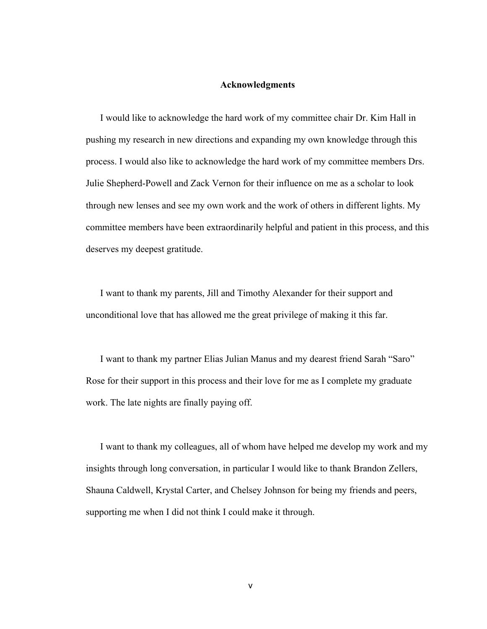#### **Acknowledgments**

I would like to acknowledge the hard work of my committee chair Dr. Kim Hall in pushing my research in new directions and expanding my own knowledge through this process. I would also like to acknowledge the hard work of my committee members Drs. Julie Shepherd-Powell and Zack Vernon for their influence on me as a scholar to look through new lenses and see my own work and the work of others in different lights. My committee members have been extraordinarily helpful and patient in this process, and this deserves my deepest gratitude.

I want to thank my parents, Jill and Timothy Alexander for their support and unconditional love that has allowed me the great privilege of making it this far.

I want to thank my partner Elias Julian Manus and my dearest friend Sarah "Saro" Rose for their support in this process and their love for me as I complete my graduate work. The late nights are finally paying off.

I want to thank my colleagues, all of whom have helped me develop my work and my insights through long conversation, in particular I would like to thank Brandon Zellers, Shauna Caldwell, Krystal Carter, and Chelsey Johnson for being my friends and peers, supporting me when I did not think I could make it through.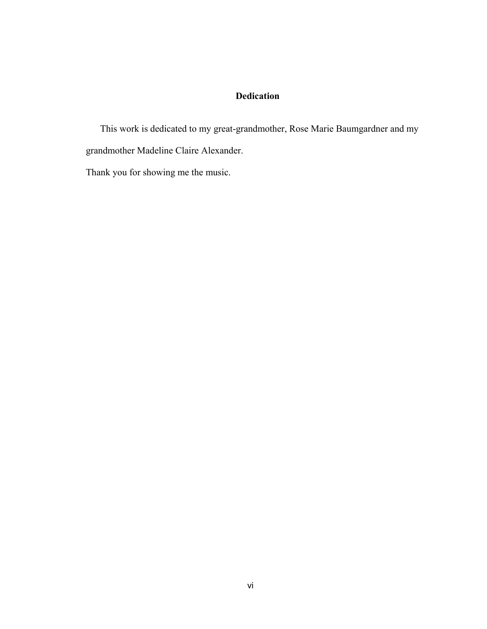# **Dedication**

This work is dedicated to my great-grandmother, Rose Marie Baumgardner and my grandmother Madeline Claire Alexander.

Thank you for showing me the music.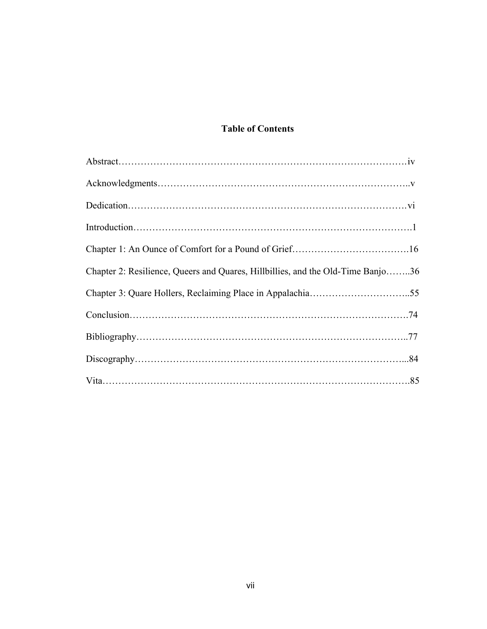# **Table of Contents**

| Chapter 2: Resilience, Queers and Quares, Hillbillies, and the Old-Time Banjo36 |
|---------------------------------------------------------------------------------|
|                                                                                 |
|                                                                                 |
|                                                                                 |
|                                                                                 |
|                                                                                 |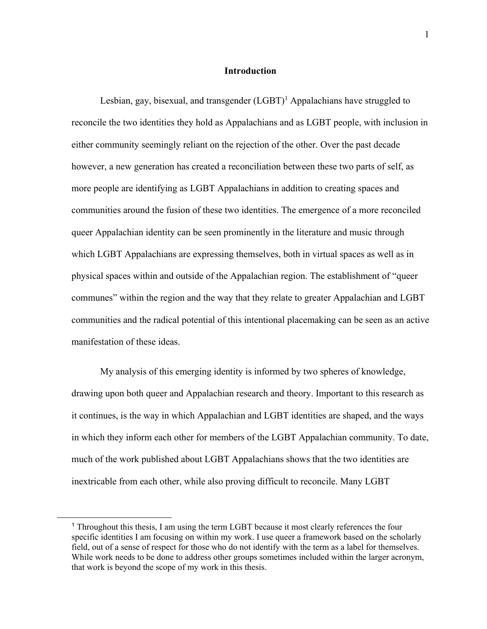## **Introduction**

Lesbian, gay, bisexual, and transgender  $(LGBT)^1$  Appalachians have struggled to reconcile the two identities they hold as Appalachians and as LGBT people, with inclusion in either community seemingly reliant on the rejection of the other. Over the past decade however, a new generation has created a reconciliation between these two parts of self, as more people are identifying as LGBT Appalachians in addition to creating spaces and communities around the fusion of these two identities. The emergence of a more reconciled queer Appalachian identity can be seen prominently in the literature and music through which LGBT Appalachians are expressing themselves, both in virtual spaces as well as in physical spaces within and outside of the Appalachian region. The establishment of "queer communes" within the region and the way that they relate to greater Appalachian and LGBT communities and the radical potential of this intentional placemaking can be seen as an active manifestation of these ideas.

My analysis of this emerging identity is informed by two spheres of knowledge, drawing upon both queer and Appalachian research and theory. Important to this research as it continues, is the way in which Appalachian and LGBT identities are shaped, and the ways in which they inform each other for members of the LGBT Appalachian community. To date, much of the work published about LGBT Appalachians shows that the two identities are inextricable from each other, while also proving difficult to reconcile. Many LGBT

 $\overline{a}$ 

<sup>&</sup>lt;sup>1</sup> Throughout this thesis, I am using the term LGBT because it most clearly references the four specific identities I am focusing on within my work. I use queer a framework based on the scholarly field, out of a sense of respect for those who do not identify with the term as a label for themselves. While work needs to be done to address other groups sometimes included within the larger acronym, that work is beyond the scope of my work in this thesis.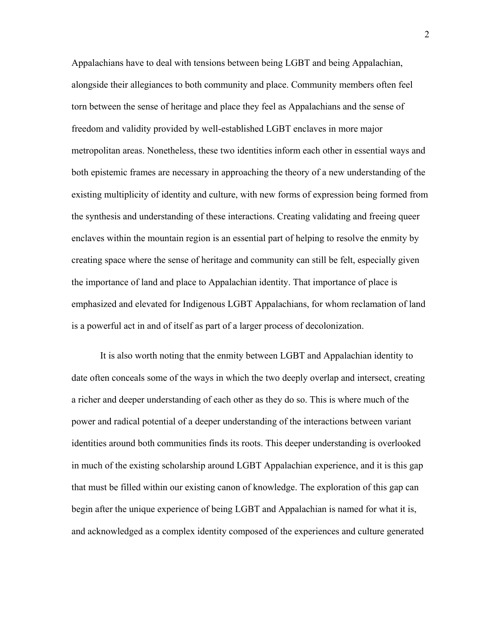Appalachians have to deal with tensions between being LGBT and being Appalachian, alongside their allegiances to both community and place. Community members often feel torn between the sense of heritage and place they feel as Appalachians and the sense of freedom and validity provided by well-established LGBT enclaves in more major metropolitan areas. Nonetheless, these two identities inform each other in essential ways and both epistemic frames are necessary in approaching the theory of a new understanding of the existing multiplicity of identity and culture, with new forms of expression being formed from the synthesis and understanding of these interactions. Creating validating and freeing queer enclaves within the mountain region is an essential part of helping to resolve the enmity by creating space where the sense of heritage and community can still be felt, especially given the importance of land and place to Appalachian identity. That importance of place is emphasized and elevated for Indigenous LGBT Appalachians, for whom reclamation of land is a powerful act in and of itself as part of a larger process of decolonization.

It is also worth noting that the enmity between LGBT and Appalachian identity to date often conceals some of the ways in which the two deeply overlap and intersect, creating a richer and deeper understanding of each other as they do so. This is where much of the power and radical potential of a deeper understanding of the interactions between variant identities around both communities finds its roots. This deeper understanding is overlooked in much of the existing scholarship around LGBT Appalachian experience, and it is this gap that must be filled within our existing canon of knowledge. The exploration of this gap can begin after the unique experience of being LGBT and Appalachian is named for what it is, and acknowledged as a complex identity composed of the experiences and culture generated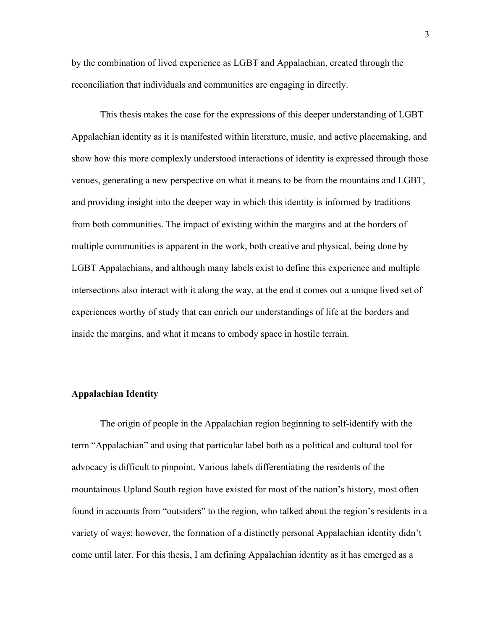by the combination of lived experience as LGBT and Appalachian, created through the reconciliation that individuals and communities are engaging in directly.

This thesis makes the case for the expressions of this deeper understanding of LGBT Appalachian identity as it is manifested within literature, music, and active placemaking, and show how this more complexly understood interactions of identity is expressed through those venues, generating a new perspective on what it means to be from the mountains and LGBT, and providing insight into the deeper way in which this identity is informed by traditions from both communities. The impact of existing within the margins and at the borders of multiple communities is apparent in the work, both creative and physical, being done by LGBT Appalachians, and although many labels exist to define this experience and multiple intersections also interact with it along the way, at the end it comes out a unique lived set of experiences worthy of study that can enrich our understandings of life at the borders and inside the margins, and what it means to embody space in hostile terrain.

#### **Appalachian Identity**

The origin of people in the Appalachian region beginning to self-identify with the term "Appalachian" and using that particular label both as a political and cultural tool for advocacy is difficult to pinpoint. Various labels differentiating the residents of the mountainous Upland South region have existed for most of the nation's history, most often found in accounts from "outsiders" to the region, who talked about the region's residents in a variety of ways; however, the formation of a distinctly personal Appalachian identity didn't come until later. For this thesis, I am defining Appalachian identity as it has emerged as a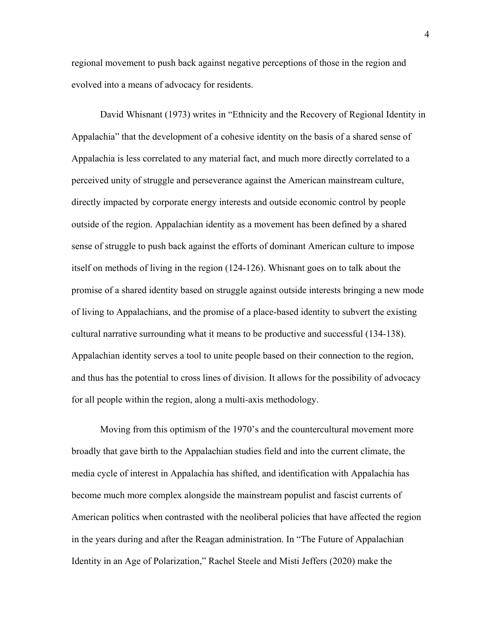regional movement to push back against negative perceptions of those in the region and evolved into a means of advocacy for residents.

David Whisnant (1973) writes in "Ethnicity and the Recovery of Regional Identity in Appalachia" that the development of a cohesive identity on the basis of a shared sense of Appalachia is less correlated to any material fact, and much more directly correlated to a perceived unity of struggle and perseverance against the American mainstream culture, directly impacted by corporate energy interests and outside economic control by people outside of the region. Appalachian identity as a movement has been defined by a shared sense of struggle to push back against the efforts of dominant American culture to impose itself on methods of living in the region (124-126). Whisnant goes on to talk about the promise of a shared identity based on struggle against outside interests bringing a new mode of living to Appalachians, and the promise of a place-based identity to subvert the existing cultural narrative surrounding what it means to be productive and successful (134-138). Appalachian identity serves a tool to unite people based on their connection to the region, and thus has the potential to cross lines of division. It allows for the possibility of advocacy for all people within the region, along a multi-axis methodology.

Moving from this optimism of the 1970's and the countercultural movement more broadly that gave birth to the Appalachian studies field and into the current climate, the media cycle of interest in Appalachia has shifted, and identification with Appalachia has become much more complex alongside the mainstream populist and fascist currents of American politics when contrasted with the neoliberal policies that have affected the region in the years during and after the Reagan administration. In "The Future of Appalachian Identity in an Age of Polarization," Rachel Steele and Misti Jeffers (2020) make the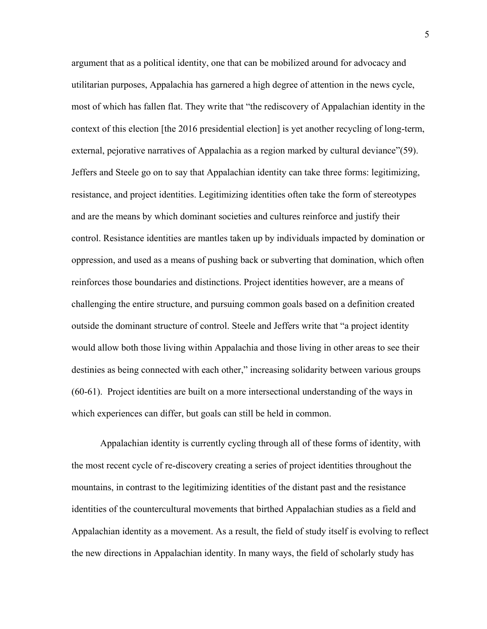argument that as a political identity, one that can be mobilized around for advocacy and utilitarian purposes, Appalachia has garnered a high degree of attention in the news cycle, most of which has fallen flat. They write that "the rediscovery of Appalachian identity in the context of this election [the 2016 presidential election] is yet another recycling of long-term, external, pejorative narratives of Appalachia as a region marked by cultural deviance"(59). Jeffers and Steele go on to say that Appalachian identity can take three forms: legitimizing, resistance, and project identities. Legitimizing identities often take the form of stereotypes and are the means by which dominant societies and cultures reinforce and justify their control. Resistance identities are mantles taken up by individuals impacted by domination or oppression, and used as a means of pushing back or subverting that domination, which often reinforces those boundaries and distinctions. Project identities however, are a means of challenging the entire structure, and pursuing common goals based on a definition created outside the dominant structure of control. Steele and Jeffers write that "a project identity would allow both those living within Appalachia and those living in other areas to see their destinies as being connected with each other," increasing solidarity between various groups (60-61). Project identities are built on a more intersectional understanding of the ways in which experiences can differ, but goals can still be held in common.

Appalachian identity is currently cycling through all of these forms of identity, with the most recent cycle of re-discovery creating a series of project identities throughout the mountains, in contrast to the legitimizing identities of the distant past and the resistance identities of the countercultural movements that birthed Appalachian studies as a field and Appalachian identity as a movement. As a result, the field of study itself is evolving to reflect the new directions in Appalachian identity. In many ways, the field of scholarly study has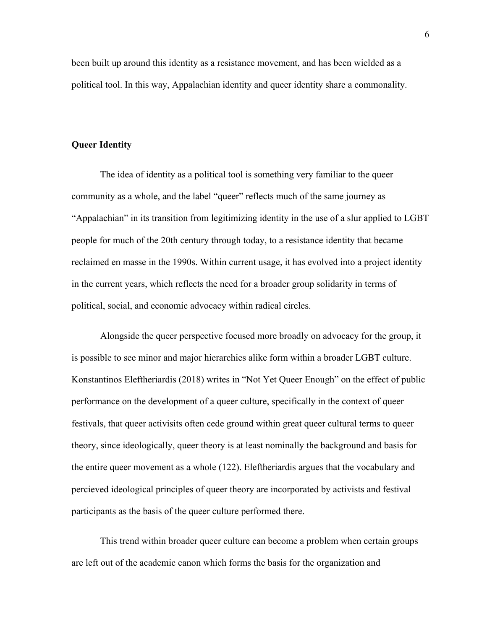been built up around this identity as a resistance movement, and has been wielded as a political tool. In this way, Appalachian identity and queer identity share a commonality.

#### **Queer Identity**

The idea of identity as a political tool is something very familiar to the queer community as a whole, and the label "queer" reflects much of the same journey as "Appalachian" in its transition from legitimizing identity in the use of a slur applied to LGBT people for much of the 20th century through today, to a resistance identity that became reclaimed en masse in the 1990s. Within current usage, it has evolved into a project identity in the current years, which reflects the need for a broader group solidarity in terms of political, social, and economic advocacy within radical circles.

Alongside the queer perspective focused more broadly on advocacy for the group, it is possible to see minor and major hierarchies alike form within a broader LGBT culture. Konstantinos Eleftheriardis (2018) writes in "Not Yet Queer Enough" on the effect of public performance on the development of a queer culture, specifically in the context of queer festivals, that queer activisits often cede ground within great queer cultural terms to queer theory, since ideologically, queer theory is at least nominally the background and basis for the entire queer movement as a whole (122). Eleftheriardis argues that the vocabulary and percieved ideological principles of queer theory are incorporated by activists and festival participants as the basis of the queer culture performed there.

This trend within broader queer culture can become a problem when certain groups are left out of the academic canon which forms the basis for the organization and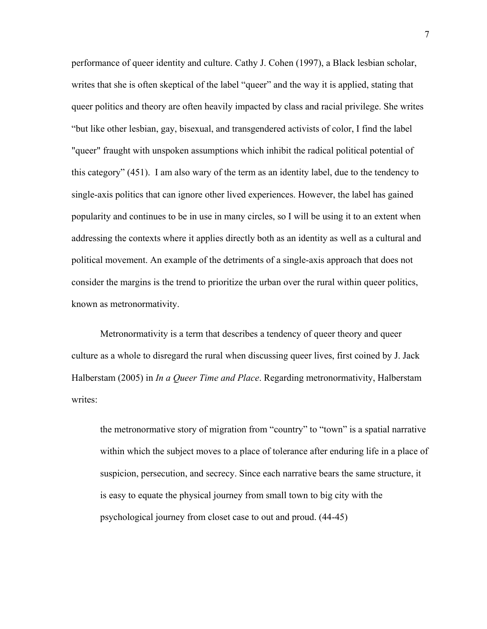performance of queer identity and culture. Cathy J. Cohen (1997), a Black lesbian scholar, writes that she is often skeptical of the label "queer" and the way it is applied, stating that queer politics and theory are often heavily impacted by class and racial privilege. She writes "but like other lesbian, gay, bisexual, and transgendered activists of color, I find the label "queer" fraught with unspoken assumptions which inhibit the radical political potential of this category" (451). I am also wary of the term as an identity label, due to the tendency to single-axis politics that can ignore other lived experiences. However, the label has gained popularity and continues to be in use in many circles, so I will be using it to an extent when addressing the contexts where it applies directly both as an identity as well as a cultural and political movement. An example of the detriments of a single-axis approach that does not consider the margins is the trend to prioritize the urban over the rural within queer politics, known as metronormativity.

Metronormativity is a term that describes a tendency of queer theory and queer culture as a whole to disregard the rural when discussing queer lives, first coined by J. Jack Halberstam (2005) in *In a Queer Time and Place*. Regarding metronormativity, Halberstam writes:

the metronormative story of migration from "country" to "town" is a spatial narrative within which the subject moves to a place of tolerance after enduring life in a place of suspicion, persecution, and secrecy. Since each narrative bears the same structure, it is easy to equate the physical journey from small town to big city with the psychological journey from closet case to out and proud. (44-45)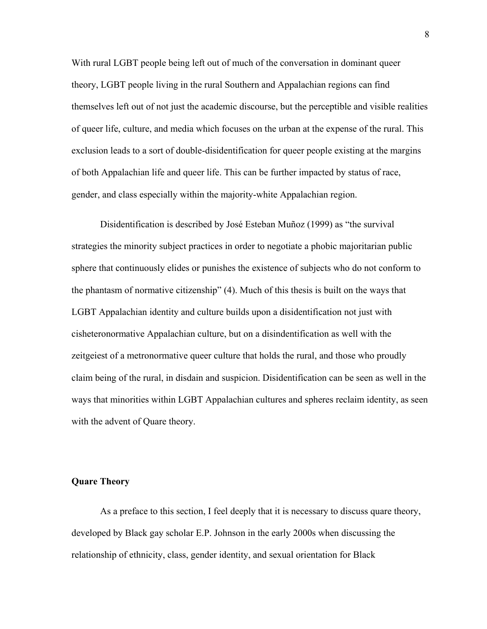With rural LGBT people being left out of much of the conversation in dominant queer theory, LGBT people living in the rural Southern and Appalachian regions can find themselves left out of not just the academic discourse, but the perceptible and visible realities of queer life, culture, and media which focuses on the urban at the expense of the rural. This exclusion leads to a sort of double-disidentification for queer people existing at the margins of both Appalachian life and queer life. This can be further impacted by status of race, gender, and class especially within the majority-white Appalachian region.

Disidentification is described by José Esteban Muñoz (1999) as "the survival strategies the minority subject practices in order to negotiate a phobic majoritarian public sphere that continuously elides or punishes the existence of subjects who do not conform to the phantasm of normative citizenship" (4). Much of this thesis is built on the ways that LGBT Appalachian identity and culture builds upon a disidentification not just with cisheteronormative Appalachian culture, but on a disindentification as well with the zeitgeiest of a metronormative queer culture that holds the rural, and those who proudly claim being of the rural, in disdain and suspicion. Disidentification can be seen as well in the ways that minorities within LGBT Appalachian cultures and spheres reclaim identity, as seen with the advent of Quare theory.

## **Quare Theory**

As a preface to this section, I feel deeply that it is necessary to discuss quare theory, developed by Black gay scholar E.P. Johnson in the early 2000s when discussing the relationship of ethnicity, class, gender identity, and sexual orientation for Black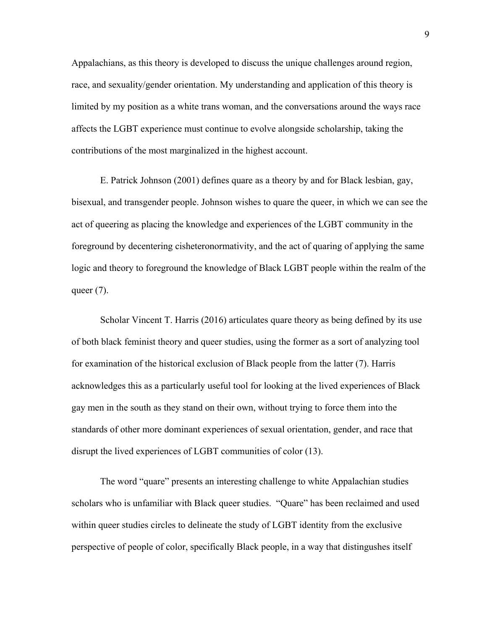Appalachians, as this theory is developed to discuss the unique challenges around region, race, and sexuality/gender orientation. My understanding and application of this theory is limited by my position as a white trans woman, and the conversations around the ways race affects the LGBT experience must continue to evolve alongside scholarship, taking the contributions of the most marginalized in the highest account.

E. Patrick Johnson (2001) defines quare as a theory by and for Black lesbian, gay, bisexual, and transgender people. Johnson wishes to quare the queer, in which we can see the act of queering as placing the knowledge and experiences of the LGBT community in the foreground by decentering cisheteronormativity, and the act of quaring of applying the same logic and theory to foreground the knowledge of Black LGBT people within the realm of the queer  $(7)$ .

Scholar Vincent T. Harris (2016) articulates quare theory as being defined by its use of both black feminist theory and queer studies, using the former as a sort of analyzing tool for examination of the historical exclusion of Black people from the latter (7). Harris acknowledges this as a particularly useful tool for looking at the lived experiences of Black gay men in the south as they stand on their own, without trying to force them into the standards of other more dominant experiences of sexual orientation, gender, and race that disrupt the lived experiences of LGBT communities of color (13).

The word "quare" presents an interesting challenge to white Appalachian studies scholars who is unfamiliar with Black queer studies. "Quare" has been reclaimed and used within queer studies circles to delineate the study of LGBT identity from the exclusive perspective of people of color, specifically Black people, in a way that distingushes itself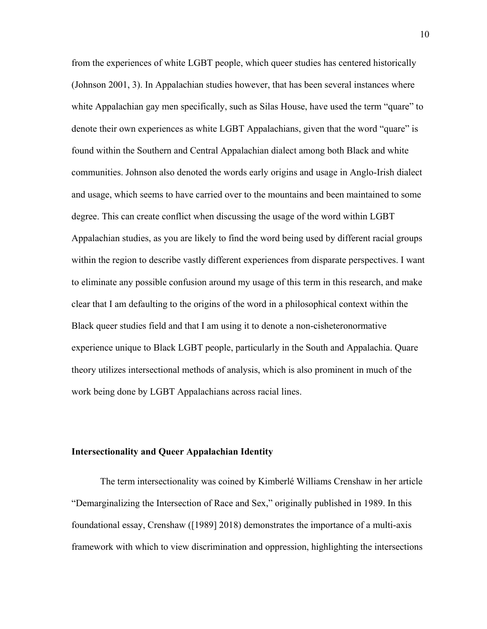from the experiences of white LGBT people, which queer studies has centered historically (Johnson 2001, 3). In Appalachian studies however, that has been several instances where white Appalachian gay men specifically, such as Silas House, have used the term "quare" to denote their own experiences as white LGBT Appalachians, given that the word "quare" is found within the Southern and Central Appalachian dialect among both Black and white communities. Johnson also denoted the words early origins and usage in Anglo-Irish dialect and usage, which seems to have carried over to the mountains and been maintained to some degree. This can create conflict when discussing the usage of the word within LGBT Appalachian studies, as you are likely to find the word being used by different racial groups within the region to describe vastly different experiences from disparate perspectives. I want to eliminate any possible confusion around my usage of this term in this research, and make clear that I am defaulting to the origins of the word in a philosophical context within the Black queer studies field and that I am using it to denote a non-cisheteronormative experience unique to Black LGBT people, particularly in the South and Appalachia. Quare theory utilizes intersectional methods of analysis, which is also prominent in much of the work being done by LGBT Appalachians across racial lines.

## **Intersectionality and Queer Appalachian Identity**

The term intersectionality was coined by Kimberlé Williams Crenshaw in her article "Demarginalizing the Intersection of Race and Sex," originally published in 1989. In this foundational essay, Crenshaw ([1989] 2018) demonstrates the importance of a multi-axis framework with which to view discrimination and oppression, highlighting the intersections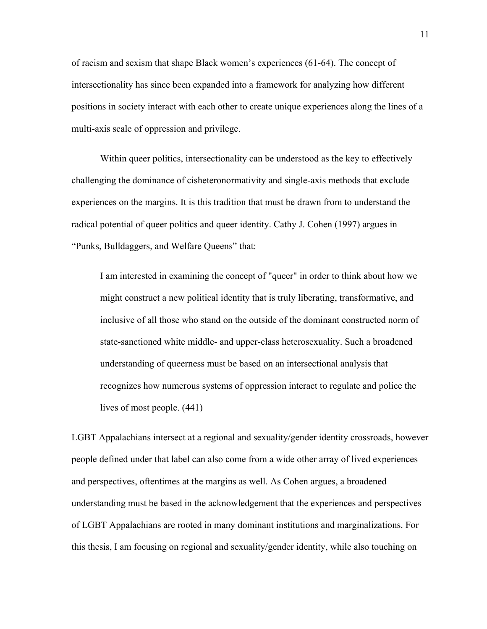of racism and sexism that shape Black women's experiences (61-64). The concept of intersectionality has since been expanded into a framework for analyzing how different positions in society interact with each other to create unique experiences along the lines of a multi-axis scale of oppression and privilege.

Within queer politics, intersectionality can be understood as the key to effectively challenging the dominance of cisheteronormativity and single-axis methods that exclude experiences on the margins. It is this tradition that must be drawn from to understand the radical potential of queer politics and queer identity. Cathy J. Cohen (1997) argues in "Punks, Bulldaggers, and Welfare Queens" that:

I am interested in examining the concept of "queer" in order to think about how we might construct a new political identity that is truly liberating, transformative, and inclusive of all those who stand on the outside of the dominant constructed norm of state-sanctioned white middle- and upper-class heterosexuality. Such a broadened understanding of queerness must be based on an intersectional analysis that recognizes how numerous systems of oppression interact to regulate and police the lives of most people. (441)

LGBT Appalachians intersect at a regional and sexuality/gender identity crossroads, however people defined under that label can also come from a wide other array of lived experiences and perspectives, oftentimes at the margins as well. As Cohen argues, a broadened understanding must be based in the acknowledgement that the experiences and perspectives of LGBT Appalachians are rooted in many dominant institutions and marginalizations. For this thesis, I am focusing on regional and sexuality/gender identity, while also touching on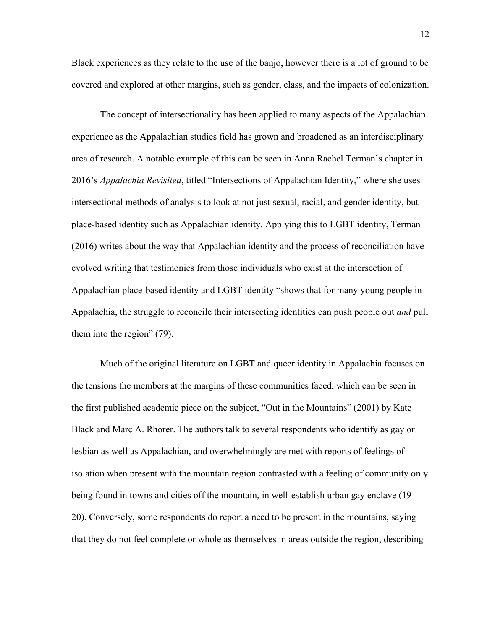Black experiences as they relate to the use of the banjo, however there is a lot of ground to be covered and explored at other margins, such as gender, class, and the impacts of colonization.

The concept of intersectionality has been applied to many aspects of the Appalachian experience as the Appalachian studies field has grown and broadened as an interdisciplinary area of research. A notable example of this can be seen in Anna Rachel Terman's chapter in 2016's *Appalachia Revisited*, titled "Intersections of Appalachian Identity," where she uses intersectional methods of analysis to look at not just sexual, racial, and gender identity, but place-based identity such as Appalachian identity. Applying this to LGBT identity, Terman (2016) writes about the way that Appalachian identity and the process of reconciliation have evolved writing that testimonies from those individuals who exist at the intersection of Appalachian place-based identity and LGBT identity "shows that for many young people in Appalachia, the struggle to reconcile their intersecting identities can push people out *and* pull them into the region" (79).

Much of the original literature on LGBT and queer identity in Appalachia focuses on the tensions the members at the margins of these communities faced, which can be seen in the first published academic piece on the subject, "Out in the Mountains" (2001) by Kate Black and Marc A. Rhorer. The authors talk to several respondents who identify as gay or lesbian as well as Appalachian, and overwhelmingly are met with reports of feelings of isolation when present with the mountain region contrasted with a feeling of community only being found in towns and cities off the mountain, in well-establish urban gay enclave (19- 20). Conversely, some respondents do report a need to be present in the mountains, saying that they do not feel complete or whole as themselves in areas outside the region, describing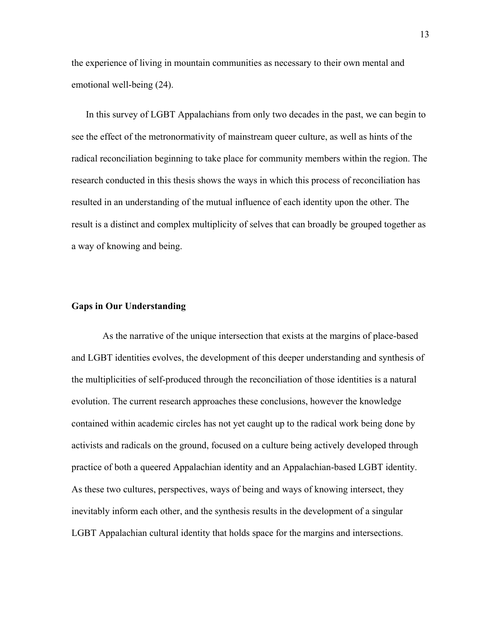the experience of living in mountain communities as necessary to their own mental and emotional well-being (24).

In this survey of LGBT Appalachians from only two decades in the past, we can begin to see the effect of the metronormativity of mainstream queer culture, as well as hints of the radical reconciliation beginning to take place for community members within the region. The research conducted in this thesis shows the ways in which this process of reconciliation has resulted in an understanding of the mutual influence of each identity upon the other. The result is a distinct and complex multiplicity of selves that can broadly be grouped together as a way of knowing and being.

#### **Gaps in Our Understanding**

As the narrative of the unique intersection that exists at the margins of place-based and LGBT identities evolves, the development of this deeper understanding and synthesis of the multiplicities of self-produced through the reconciliation of those identities is a natural evolution. The current research approaches these conclusions, however the knowledge contained within academic circles has not yet caught up to the radical work being done by activists and radicals on the ground, focused on a culture being actively developed through practice of both a queered Appalachian identity and an Appalachian-based LGBT identity. As these two cultures, perspectives, ways of being and ways of knowing intersect, they inevitably inform each other, and the synthesis results in the development of a singular LGBT Appalachian cultural identity that holds space for the margins and intersections.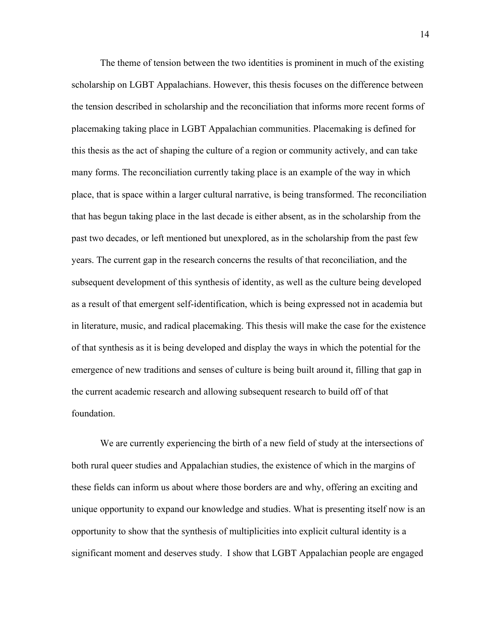The theme of tension between the two identities is prominent in much of the existing scholarship on LGBT Appalachians. However, this thesis focuses on the difference between the tension described in scholarship and the reconciliation that informs more recent forms of placemaking taking place in LGBT Appalachian communities. Placemaking is defined for this thesis as the act of shaping the culture of a region or community actively, and can take many forms. The reconciliation currently taking place is an example of the way in which place, that is space within a larger cultural narrative, is being transformed. The reconciliation that has begun taking place in the last decade is either absent, as in the scholarship from the past two decades, or left mentioned but unexplored, as in the scholarship from the past few years. The current gap in the research concerns the results of that reconciliation, and the subsequent development of this synthesis of identity, as well as the culture being developed as a result of that emergent self-identification, which is being expressed not in academia but in literature, music, and radical placemaking. This thesis will make the case for the existence of that synthesis as it is being developed and display the ways in which the potential for the emergence of new traditions and senses of culture is being built around it, filling that gap in the current academic research and allowing subsequent research to build off of that foundation.

We are currently experiencing the birth of a new field of study at the intersections of both rural queer studies and Appalachian studies, the existence of which in the margins of these fields can inform us about where those borders are and why, offering an exciting and unique opportunity to expand our knowledge and studies. What is presenting itself now is an opportunity to show that the synthesis of multiplicities into explicit cultural identity is a significant moment and deserves study. I show that LGBT Appalachian people are engaged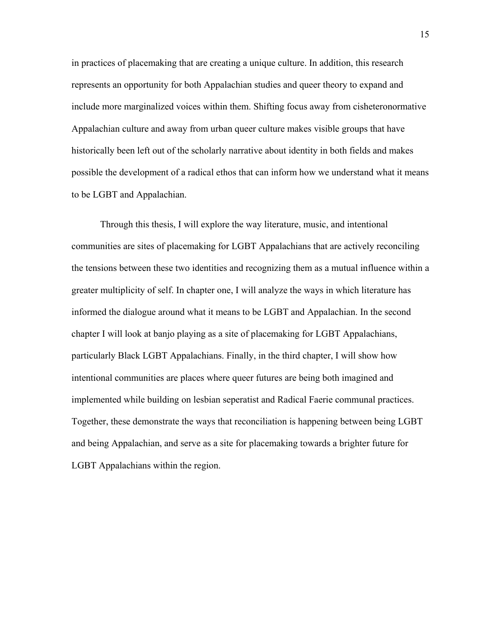in practices of placemaking that are creating a unique culture. In addition, this research represents an opportunity for both Appalachian studies and queer theory to expand and include more marginalized voices within them. Shifting focus away from cisheteronormative Appalachian culture and away from urban queer culture makes visible groups that have historically been left out of the scholarly narrative about identity in both fields and makes possible the development of a radical ethos that can inform how we understand what it means to be LGBT and Appalachian.

Through this thesis, I will explore the way literature, music, and intentional communities are sites of placemaking for LGBT Appalachians that are actively reconciling the tensions between these two identities and recognizing them as a mutual influence within a greater multiplicity of self. In chapter one, I will analyze the ways in which literature has informed the dialogue around what it means to be LGBT and Appalachian. In the second chapter I will look at banjo playing as a site of placemaking for LGBT Appalachians, particularly Black LGBT Appalachians. Finally, in the third chapter, I will show how intentional communities are places where queer futures are being both imagined and implemented while building on lesbian seperatist and Radical Faerie communal practices. Together, these demonstrate the ways that reconciliation is happening between being LGBT and being Appalachian, and serve as a site for placemaking towards a brighter future for LGBT Appalachians within the region.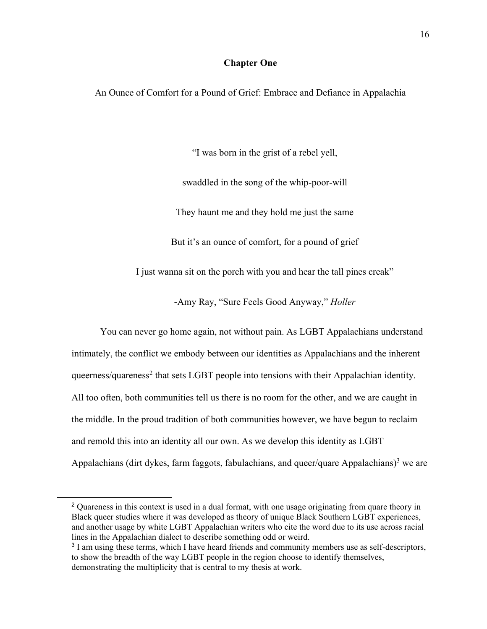## **Chapter One**

An Ounce of Comfort for a Pound of Grief: Embrace and Defiance in Appalachia

"I was born in the grist of a rebel yell,

swaddled in the song of the whip-poor-will

They haunt me and they hold me just the same

But it's an ounce of comfort, for a pound of grief

I just wanna sit on the porch with you and hear the tall pines creak"

-Amy Ray, "Sure Feels Good Anyway," *Holler* 

You can never go home again, not without pain. As LGBT Appalachians understand intimately, the conflict we embody between our identities as Appalachians and the inherent queerness/quareness<sup>2</sup> that sets LGBT people into tensions with their Appalachian identity. All too often, both communities tell us there is no room for the other, and we are caught in the middle. In the proud tradition of both communities however, we have begun to reclaim and remold this into an identity all our own. As we develop this identity as LGBT Appalachians (dirt dykes, farm faggots, fabulachians, and queer/quare Appalachians)<sup>3</sup> we are

 $\overline{a}$ 

<sup>&</sup>lt;sup>2</sup> Quareness in this context is used in a dual format, with one usage originating from quare theory in Black queer studies where it was developed as theory of unique Black Southern LGBT experiences, and another usage by white LGBT Appalachian writers who cite the word due to its use across racial lines in the Appalachian dialect to describe something odd or weird.

<sup>&</sup>lt;sup>3</sup> I am using these terms, which I have heard friends and community members use as self-descriptors, to show the breadth of the way LGBT people in the region choose to identify themselves, demonstrating the multiplicity that is central to my thesis at work.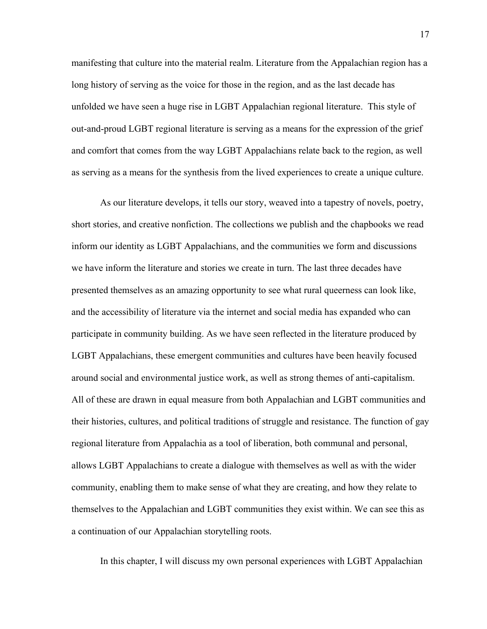manifesting that culture into the material realm. Literature from the Appalachian region has a long history of serving as the voice for those in the region, and as the last decade has unfolded we have seen a huge rise in LGBT Appalachian regional literature. This style of out-and-proud LGBT regional literature is serving as a means for the expression of the grief and comfort that comes from the way LGBT Appalachians relate back to the region, as well as serving as a means for the synthesis from the lived experiences to create a unique culture.

As our literature develops, it tells our story, weaved into a tapestry of novels, poetry, short stories, and creative nonfiction. The collections we publish and the chapbooks we read inform our identity as LGBT Appalachians, and the communities we form and discussions we have inform the literature and stories we create in turn. The last three decades have presented themselves as an amazing opportunity to see what rural queerness can look like, and the accessibility of literature via the internet and social media has expanded who can participate in community building. As we have seen reflected in the literature produced by LGBT Appalachians, these emergent communities and cultures have been heavily focused around social and environmental justice work, as well as strong themes of anti-capitalism. All of these are drawn in equal measure from both Appalachian and LGBT communities and their histories, cultures, and political traditions of struggle and resistance. The function of gay regional literature from Appalachia as a tool of liberation, both communal and personal, allows LGBT Appalachians to create a dialogue with themselves as well as with the wider community, enabling them to make sense of what they are creating, and how they relate to themselves to the Appalachian and LGBT communities they exist within. We can see this as a continuation of our Appalachian storytelling roots.

In this chapter, I will discuss my own personal experiences with LGBT Appalachian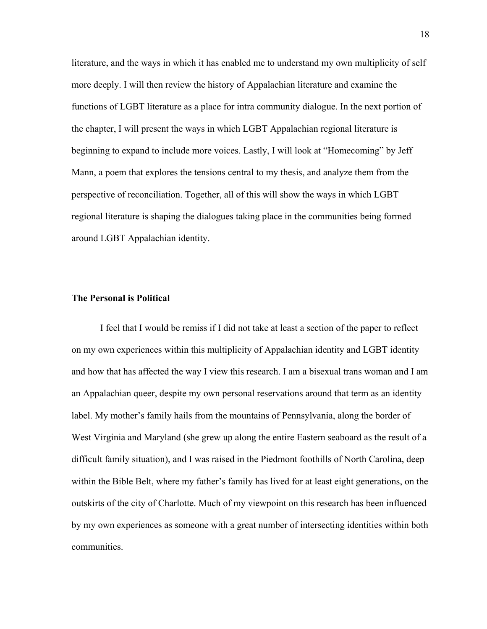literature, and the ways in which it has enabled me to understand my own multiplicity of self more deeply. I will then review the history of Appalachian literature and examine the functions of LGBT literature as a place for intra community dialogue. In the next portion of the chapter, I will present the ways in which LGBT Appalachian regional literature is beginning to expand to include more voices. Lastly, I will look at "Homecoming" by Jeff Mann, a poem that explores the tensions central to my thesis, and analyze them from the perspective of reconciliation. Together, all of this will show the ways in which LGBT regional literature is shaping the dialogues taking place in the communities being formed around LGBT Appalachian identity.

#### **The Personal is Political**

I feel that I would be remiss if I did not take at least a section of the paper to reflect on my own experiences within this multiplicity of Appalachian identity and LGBT identity and how that has affected the way I view this research. I am a bisexual trans woman and I am an Appalachian queer, despite my own personal reservations around that term as an identity label. My mother's family hails from the mountains of Pennsylvania, along the border of West Virginia and Maryland (she grew up along the entire Eastern seaboard as the result of a difficult family situation), and I was raised in the Piedmont foothills of North Carolina, deep within the Bible Belt, where my father's family has lived for at least eight generations, on the outskirts of the city of Charlotte. Much of my viewpoint on this research has been influenced by my own experiences as someone with a great number of intersecting identities within both communities.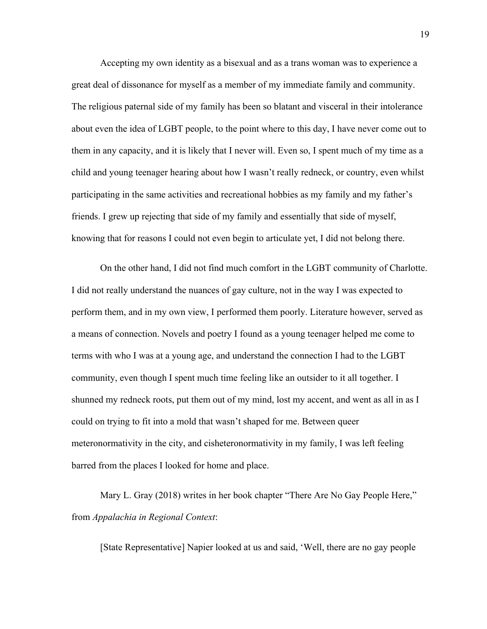Accepting my own identity as a bisexual and as a trans woman was to experience a great deal of dissonance for myself as a member of my immediate family and community. The religious paternal side of my family has been so blatant and visceral in their intolerance about even the idea of LGBT people, to the point where to this day, I have never come out to them in any capacity, and it is likely that I never will. Even so, I spent much of my time as a child and young teenager hearing about how I wasn't really redneck, or country, even whilst participating in the same activities and recreational hobbies as my family and my father's friends. I grew up rejecting that side of my family and essentially that side of myself, knowing that for reasons I could not even begin to articulate yet, I did not belong there.

On the other hand, I did not find much comfort in the LGBT community of Charlotte. I did not really understand the nuances of gay culture, not in the way I was expected to perform them, and in my own view, I performed them poorly. Literature however, served as a means of connection. Novels and poetry I found as a young teenager helped me come to terms with who I was at a young age, and understand the connection I had to the LGBT community, even though I spent much time feeling like an outsider to it all together. I shunned my redneck roots, put them out of my mind, lost my accent, and went as all in as I could on trying to fit into a mold that wasn't shaped for me. Between queer meteronormativity in the city, and cisheteronormativity in my family, I was left feeling barred from the places I looked for home and place.

Mary L. Gray (2018) writes in her book chapter "There Are No Gay People Here," from *Appalachia in Regional Context*:

[State Representative] Napier looked at us and said, 'Well, there are no gay people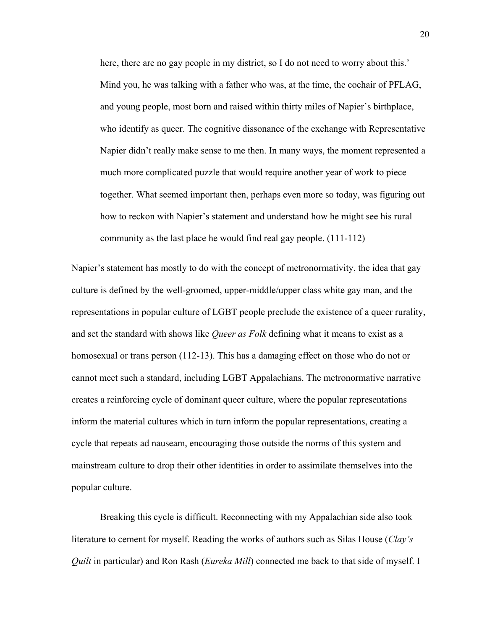here, there are no gay people in my district, so I do not need to worry about this.' Mind you, he was talking with a father who was, at the time, the cochair of PFLAG, and young people, most born and raised within thirty miles of Napier's birthplace, who identify as queer. The cognitive dissonance of the exchange with Representative Napier didn't really make sense to me then. In many ways, the moment represented a much more complicated puzzle that would require another year of work to piece together. What seemed important then, perhaps even more so today, was figuring out how to reckon with Napier's statement and understand how he might see his rural community as the last place he would find real gay people. (111-112)

Napier's statement has mostly to do with the concept of metronormativity, the idea that gay culture is defined by the well-groomed, upper-middle/upper class white gay man, and the representations in popular culture of LGBT people preclude the existence of a queer rurality, and set the standard with shows like *Queer as Folk* defining what it means to exist as a homosexual or trans person (112-13). This has a damaging effect on those who do not or cannot meet such a standard, including LGBT Appalachians. The metronormative narrative creates a reinforcing cycle of dominant queer culture, where the popular representations inform the material cultures which in turn inform the popular representations, creating a cycle that repeats ad nauseam, encouraging those outside the norms of this system and mainstream culture to drop their other identities in order to assimilate themselves into the popular culture.

Breaking this cycle is difficult. Reconnecting with my Appalachian side also took literature to cement for myself. Reading the works of authors such as Silas House (*Clay's Quilt* in particular) and Ron Rash (*Eureka Mill*) connected me back to that side of myself. I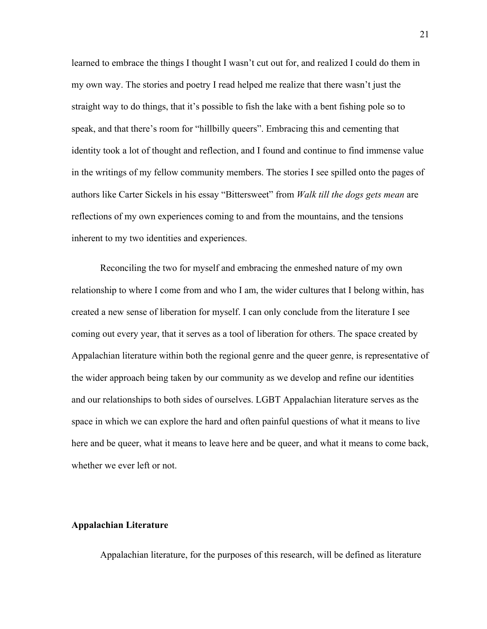learned to embrace the things I thought I wasn't cut out for, and realized I could do them in my own way. The stories and poetry I read helped me realize that there wasn't just the straight way to do things, that it's possible to fish the lake with a bent fishing pole so to speak, and that there's room for "hillbilly queers". Embracing this and cementing that identity took a lot of thought and reflection, and I found and continue to find immense value in the writings of my fellow community members. The stories I see spilled onto the pages of authors like Carter Sickels in his essay "Bittersweet" from *Walk till the dogs gets mean* are reflections of my own experiences coming to and from the mountains, and the tensions inherent to my two identities and experiences.

Reconciling the two for myself and embracing the enmeshed nature of my own relationship to where I come from and who I am, the wider cultures that I belong within, has created a new sense of liberation for myself. I can only conclude from the literature I see coming out every year, that it serves as a tool of liberation for others. The space created by Appalachian literature within both the regional genre and the queer genre, is representative of the wider approach being taken by our community as we develop and refine our identities and our relationships to both sides of ourselves. LGBT Appalachian literature serves as the space in which we can explore the hard and often painful questions of what it means to live here and be queer, what it means to leave here and be queer, and what it means to come back, whether we ever left or not.

#### **Appalachian Literature**

Appalachian literature, for the purposes of this research, will be defined as literature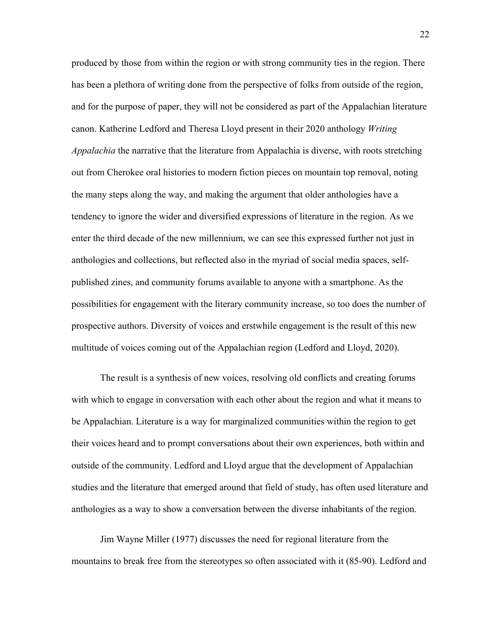produced by those from within the region or with strong community ties in the region. There has been a plethora of writing done from the perspective of folks from outside of the region, and for the purpose of paper, they will not be considered as part of the Appalachian literature canon. Katherine Ledford and Theresa Lloyd present in their 2020 anthology *Writing Appalachia* the narrative that the literature from Appalachia is diverse, with roots stretching out from Cherokee oral histories to modern fiction pieces on mountain top removal, noting the many steps along the way, and making the argument that older anthologies have a tendency to ignore the wider and diversified expressions of literature in the region. As we enter the third decade of the new millennium, we can see this expressed further not just in anthologies and collections, but reflected also in the myriad of social media spaces, selfpublished zines, and community forums available to anyone with a smartphone. As the possibilities for engagement with the literary community increase, so too does the number of prospective authors. Diversity of voices and erstwhile engagement is the result of this new multitude of voices coming out of the Appalachian region (Ledford and Lloyd, 2020).

The result is a synthesis of new voices, resolving old conflicts and creating forums with which to engage in conversation with each other about the region and what it means to be Appalachian. Literature is a way for marginalized communities within the region to get their voices heard and to prompt conversations about their own experiences, both within and outside of the community. Ledford and Lloyd argue that the development of Appalachian studies and the literature that emerged around that field of study, has often used literature and anthologies as a way to show a conversation between the diverse inhabitants of the region.

Jim Wayne Miller (1977) discusses the need for regional literature from the mountains to break free from the stereotypes so often associated with it (85-90). Ledford and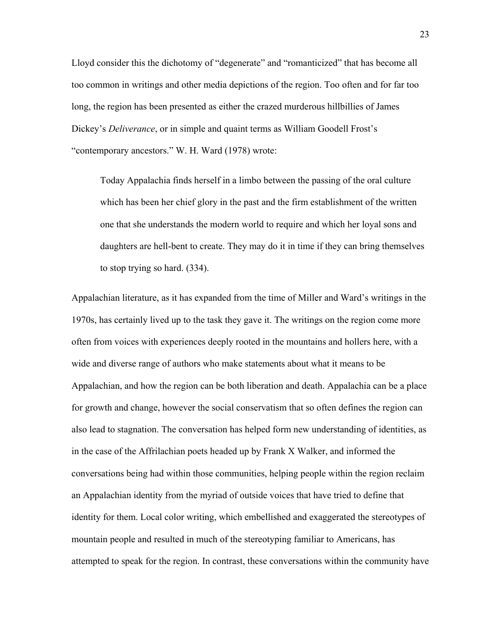Lloyd consider this the dichotomy of "degenerate" and "romanticized" that has become all too common in writings and other media depictions of the region. Too often and for far too long, the region has been presented as either the crazed murderous hillbillies of James Dickey's *Deliverance*, or in simple and quaint terms as William Goodell Frost's "contemporary ancestors." W. H. Ward (1978) wrote:

Today Appalachia finds herself in a limbo between the passing of the oral culture which has been her chief glory in the past and the firm establishment of the written one that she understands the modern world to require and which her loyal sons and daughters are hell-bent to create. They may do it in time if they can bring themselves to stop trying so hard. (334).

Appalachian literature, as it has expanded from the time of Miller and Ward's writings in the 1970s, has certainly lived up to the task they gave it. The writings on the region come more often from voices with experiences deeply rooted in the mountains and hollers here, with a wide and diverse range of authors who make statements about what it means to be Appalachian, and how the region can be both liberation and death. Appalachia can be a place for growth and change, however the social conservatism that so often defines the region can also lead to stagnation. The conversation has helped form new understanding of identities, as in the case of the Affrilachian poets headed up by Frank X Walker, and informed the conversations being had within those communities, helping people within the region reclaim an Appalachian identity from the myriad of outside voices that have tried to define that identity for them. Local color writing, which embellished and exaggerated the stereotypes of mountain people and resulted in much of the stereotyping familiar to Americans, has attempted to speak for the region. In contrast, these conversations within the community have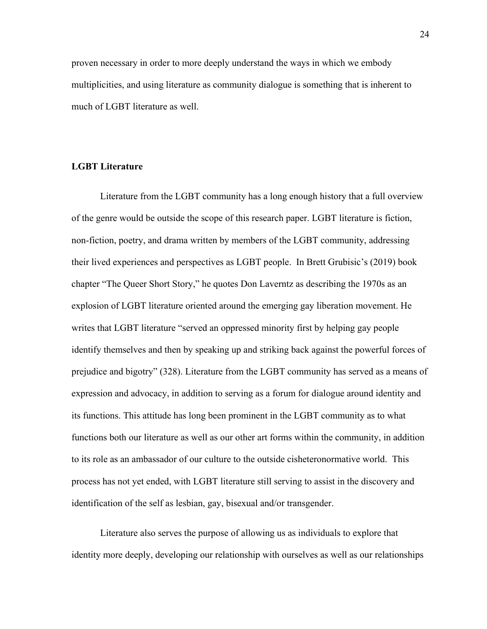proven necessary in order to more deeply understand the ways in which we embody multiplicities, and using literature as community dialogue is something that is inherent to much of LGBT literature as well.

#### **LGBT Literature**

Literature from the LGBT community has a long enough history that a full overview of the genre would be outside the scope of this research paper. LGBT literature is fiction, non-fiction, poetry, and drama written by members of the LGBT community, addressing their lived experiences and perspectives as LGBT people. In Brett Grubisic's (2019) book chapter "The Queer Short Story," he quotes Don Laverntz as describing the 1970s as an explosion of LGBT literature oriented around the emerging gay liberation movement. He writes that LGBT literature "served an oppressed minority first by helping gay people identify themselves and then by speaking up and striking back against the powerful forces of prejudice and bigotry" (328). Literature from the LGBT community has served as a means of expression and advocacy, in addition to serving as a forum for dialogue around identity and its functions. This attitude has long been prominent in the LGBT community as to what functions both our literature as well as our other art forms within the community, in addition to its role as an ambassador of our culture to the outside cisheteronormative world. This process has not yet ended, with LGBT literature still serving to assist in the discovery and identification of the self as lesbian, gay, bisexual and/or transgender.

Literature also serves the purpose of allowing us as individuals to explore that identity more deeply, developing our relationship with ourselves as well as our relationships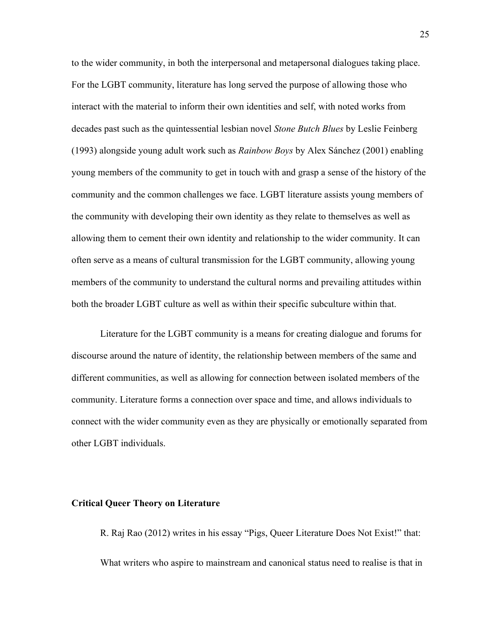to the wider community, in both the interpersonal and metapersonal dialogues taking place. For the LGBT community, literature has long served the purpose of allowing those who interact with the material to inform their own identities and self, with noted works from decades past such as the quintessential lesbian novel *Stone Butch Blues* by Leslie Feinberg (1993) alongside young adult work such as *Rainbow Boys* by Alex Sánchez (2001) enabling young members of the community to get in touch with and grasp a sense of the history of the community and the common challenges we face. LGBT literature assists young members of the community with developing their own identity as they relate to themselves as well as allowing them to cement their own identity and relationship to the wider community. It can often serve as a means of cultural transmission for the LGBT community, allowing young members of the community to understand the cultural norms and prevailing attitudes within both the broader LGBT culture as well as within their specific subculture within that.

Literature for the LGBT community is a means for creating dialogue and forums for discourse around the nature of identity, the relationship between members of the same and different communities, as well as allowing for connection between isolated members of the community. Literature forms a connection over space and time, and allows individuals to connect with the wider community even as they are physically or emotionally separated from other LGBT individuals.

#### **Critical Queer Theory on Literature**

R. Raj Rao (2012) writes in his essay "Pigs, Queer Literature Does Not Exist!" that: What writers who aspire to mainstream and canonical status need to realise is that in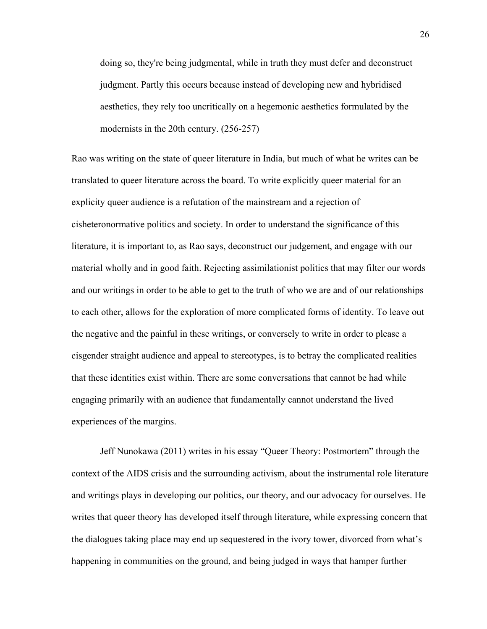doing so, they're being judgmental, while in truth they must defer and deconstruct judgment. Partly this occurs because instead of developing new and hybridised aesthetics, they rely too uncritically on a hegemonic aesthetics formulated by the modernists in the 20th century. (256-257)

Rao was writing on the state of queer literature in India, but much of what he writes can be translated to queer literature across the board. To write explicitly queer material for an explicity queer audience is a refutation of the mainstream and a rejection of cisheteronormative politics and society. In order to understand the significance of this literature, it is important to, as Rao says, deconstruct our judgement, and engage with our material wholly and in good faith. Rejecting assimilationist politics that may filter our words and our writings in order to be able to get to the truth of who we are and of our relationships to each other, allows for the exploration of more complicated forms of identity. To leave out the negative and the painful in these writings, or conversely to write in order to please a cisgender straight audience and appeal to stereotypes, is to betray the complicated realities that these identities exist within. There are some conversations that cannot be had while engaging primarily with an audience that fundamentally cannot understand the lived experiences of the margins.

Jeff Nunokawa (2011) writes in his essay "Queer Theory: Postmortem" through the context of the AIDS crisis and the surrounding activism, about the instrumental role literature and writings plays in developing our politics, our theory, and our advocacy for ourselves. He writes that queer theory has developed itself through literature, while expressing concern that the dialogues taking place may end up sequestered in the ivory tower, divorced from what's happening in communities on the ground, and being judged in ways that hamper further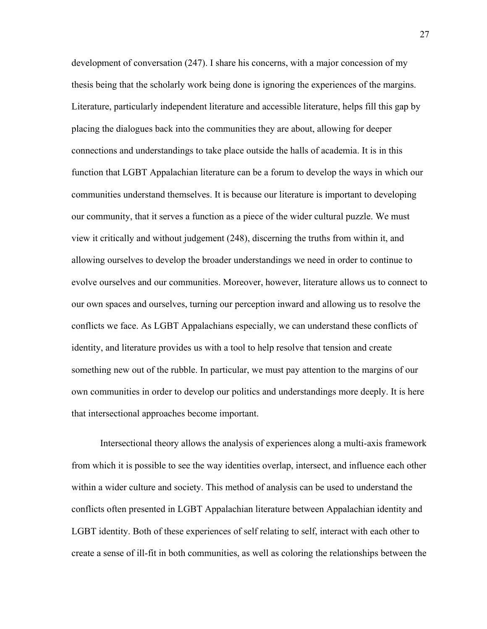development of conversation (247). I share his concerns, with a major concession of my thesis being that the scholarly work being done is ignoring the experiences of the margins. Literature, particularly independent literature and accessible literature, helps fill this gap by placing the dialogues back into the communities they are about, allowing for deeper connections and understandings to take place outside the halls of academia. It is in this function that LGBT Appalachian literature can be a forum to develop the ways in which our communities understand themselves. It is because our literature is important to developing our community, that it serves a function as a piece of the wider cultural puzzle. We must view it critically and without judgement (248), discerning the truths from within it, and allowing ourselves to develop the broader understandings we need in order to continue to evolve ourselves and our communities. Moreover, however, literature allows us to connect to our own spaces and ourselves, turning our perception inward and allowing us to resolve the conflicts we face. As LGBT Appalachians especially, we can understand these conflicts of identity, and literature provides us with a tool to help resolve that tension and create something new out of the rubble. In particular, we must pay attention to the margins of our own communities in order to develop our politics and understandings more deeply. It is here that intersectional approaches become important.

Intersectional theory allows the analysis of experiences along a multi-axis framework from which it is possible to see the way identities overlap, intersect, and influence each other within a wider culture and society. This method of analysis can be used to understand the conflicts often presented in LGBT Appalachian literature between Appalachian identity and LGBT identity. Both of these experiences of self relating to self, interact with each other to create a sense of ill-fit in both communities, as well as coloring the relationships between the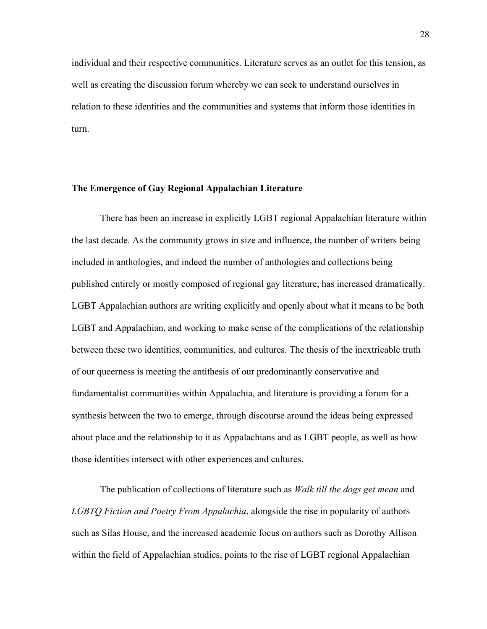individual and their respective communities. Literature serves as an outlet for this tension, as well as creating the discussion forum whereby we can seek to understand ourselves in relation to these identities and the communities and systems that inform those identities in turn.

### **The Emergence of Gay Regional Appalachian Literature**

There has been an increase in explicitly LGBT regional Appalachian literature within the last decade. As the community grows in size and influence, the number of writers being included in anthologies, and indeed the number of anthologies and collections being published entirely or mostly composed of regional gay literature, has increased dramatically. LGBT Appalachian authors are writing explicitly and openly about what it means to be both LGBT and Appalachian, and working to make sense of the complications of the relationship between these two identities, communities, and cultures. The thesis of the inextricable truth of our queerness is meeting the antithesis of our predominantly conservative and fundamentalist communities within Appalachia, and literature is providing a forum for a synthesis between the two to emerge, through discourse around the ideas being expressed about place and the relationship to it as Appalachians and as LGBT people, as well as how those identities intersect with other experiences and cultures.

The publication of collections of literature such as *Walk till the dogs get mean* and *LGBTQ Fiction and Poetry From Appalachia*, alongside the rise in popularity of authors such as Silas House, and the increased academic focus on authors such as Dorothy Allison within the field of Appalachian studies, points to the rise of LGBT regional Appalachian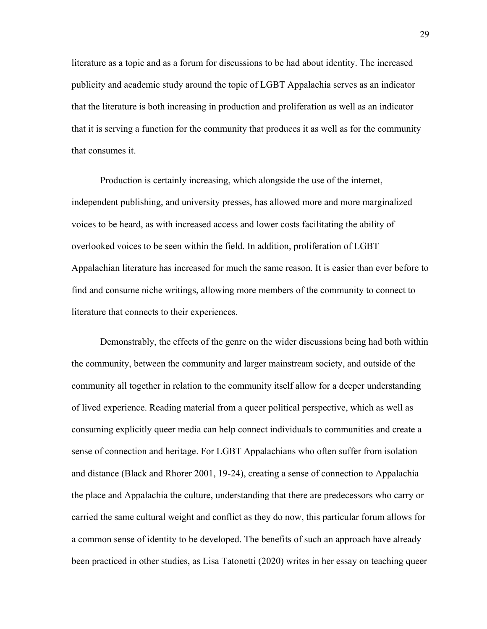literature as a topic and as a forum for discussions to be had about identity. The increased publicity and academic study around the topic of LGBT Appalachia serves as an indicator that the literature is both increasing in production and proliferation as well as an indicator that it is serving a function for the community that produces it as well as for the community that consumes it.

Production is certainly increasing, which alongside the use of the internet, independent publishing, and university presses, has allowed more and more marginalized voices to be heard, as with increased access and lower costs facilitating the ability of overlooked voices to be seen within the field. In addition, proliferation of LGBT Appalachian literature has increased for much the same reason. It is easier than ever before to find and consume niche writings, allowing more members of the community to connect to literature that connects to their experiences.

Demonstrably, the effects of the genre on the wider discussions being had both within the community, between the community and larger mainstream society, and outside of the community all together in relation to the community itself allow for a deeper understanding of lived experience. Reading material from a queer political perspective, which as well as consuming explicitly queer media can help connect individuals to communities and create a sense of connection and heritage. For LGBT Appalachians who often suffer from isolation and distance (Black and Rhorer 2001, 19-24), creating a sense of connection to Appalachia the place and Appalachia the culture, understanding that there are predecessors who carry or carried the same cultural weight and conflict as they do now, this particular forum allows for a common sense of identity to be developed. The benefits of such an approach have already been practiced in other studies, as Lisa Tatonetti (2020) writes in her essay on teaching queer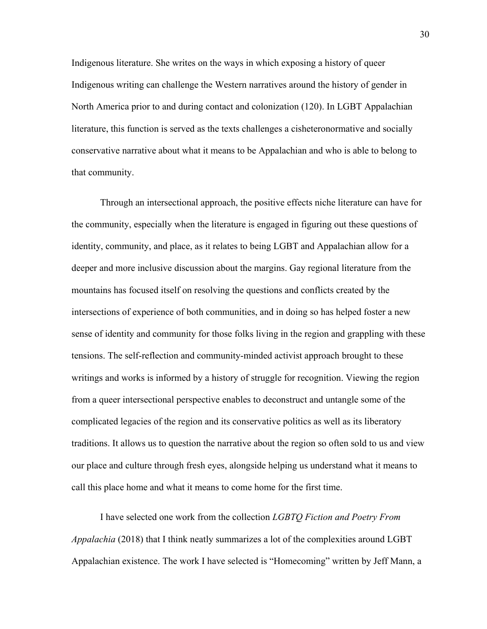Indigenous literature. She writes on the ways in which exposing a history of queer Indigenous writing can challenge the Western narratives around the history of gender in North America prior to and during contact and colonization (120). In LGBT Appalachian literature, this function is served as the texts challenges a cisheteronormative and socially conservative narrative about what it means to be Appalachian and who is able to belong to that community.

Through an intersectional approach, the positive effects niche literature can have for the community, especially when the literature is engaged in figuring out these questions of identity, community, and place, as it relates to being LGBT and Appalachian allow for a deeper and more inclusive discussion about the margins. Gay regional literature from the mountains has focused itself on resolving the questions and conflicts created by the intersections of experience of both communities, and in doing so has helped foster a new sense of identity and community for those folks living in the region and grappling with these tensions. The self-reflection and community-minded activist approach brought to these writings and works is informed by a history of struggle for recognition. Viewing the region from a queer intersectional perspective enables to deconstruct and untangle some of the complicated legacies of the region and its conservative politics as well as its liberatory traditions. It allows us to question the narrative about the region so often sold to us and view our place and culture through fresh eyes, alongside helping us understand what it means to call this place home and what it means to come home for the first time.

I have selected one work from the collection *LGBTQ Fiction and Poetry From Appalachia* (2018) that I think neatly summarizes a lot of the complexities around LGBT Appalachian existence. The work I have selected is "Homecoming" written by Jeff Mann, a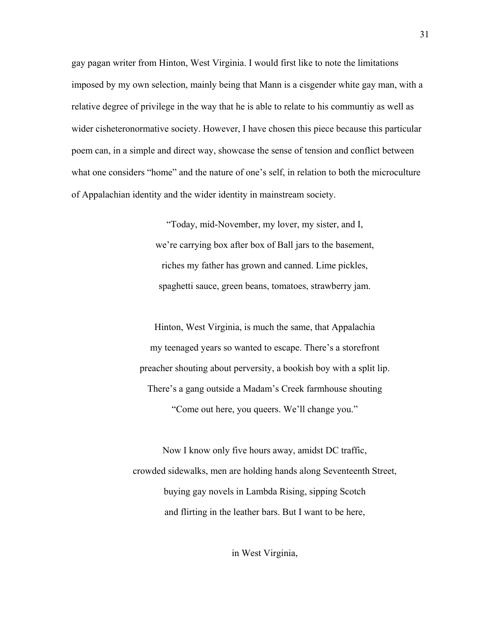gay pagan writer from Hinton, West Virginia. I would first like to note the limitations imposed by my own selection, mainly being that Mann is a cisgender white gay man, with a relative degree of privilege in the way that he is able to relate to his communtiy as well as wider cisheteronormative society. However, I have chosen this piece because this particular poem can, in a simple and direct way, showcase the sense of tension and conflict between what one considers "home" and the nature of one's self, in relation to both the microculture of Appalachian identity and the wider identity in mainstream society.

> "Today, mid-November, my lover, my sister, and I, we're carrying box after box of Ball jars to the basement, riches my father has grown and canned. Lime pickles, spaghetti sauce, green beans, tomatoes, strawberry jam.

Hinton, West Virginia, is much the same, that Appalachia my teenaged years so wanted to escape. There's a storefront preacher shouting about perversity, a bookish boy with a split lip. There's a gang outside a Madam's Creek farmhouse shouting "Come out here, you queers. We'll change you."

Now I know only five hours away, amidst DC traffic, crowded sidewalks, men are holding hands along Seventeenth Street, buying gay novels in Lambda Rising, sipping Scotch and flirting in the leather bars. But I want to be here,

in West Virginia,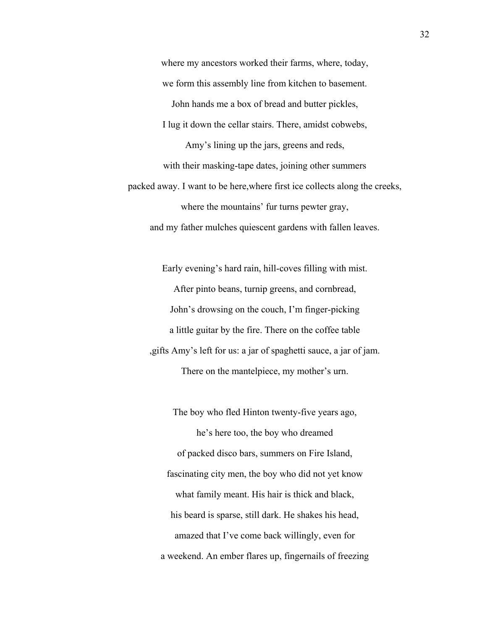where my ancestors worked their farms, where, today, we form this assembly line from kitchen to basement. John hands me a box of bread and butter pickles, I lug it down the cellar stairs. There, amidst cobwebs, Amy's lining up the jars, greens and reds, with their masking-tape dates, joining other summers packed away. I want to be here,where first ice collects along the creeks, where the mountains' fur turns pewter gray, and my father mulches quiescent gardens with fallen leaves.

Early evening's hard rain, hill-coves filling with mist. After pinto beans, turnip greens, and cornbread, John's drowsing on the couch, I'm finger-picking a little guitar by the fire. There on the coffee table ,gifts Amy's left for us: a jar of spaghetti sauce, a jar of jam. There on the mantelpiece, my mother's urn.

The boy who fled Hinton twenty-five years ago, he's here too, the boy who dreamed of packed disco bars, summers on Fire Island, fascinating city men, the boy who did not yet know what family meant. His hair is thick and black, his beard is sparse, still dark. He shakes his head, amazed that I've come back willingly, even for a weekend. An ember flares up, fingernails of freezing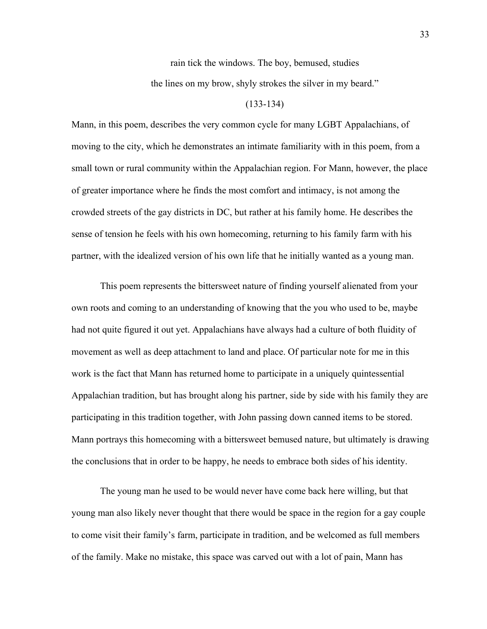rain tick the windows. The boy, bemused, studies

the lines on my brow, shyly strokes the silver in my beard."

#### (133-134)

Mann, in this poem, describes the very common cycle for many LGBT Appalachians, of moving to the city, which he demonstrates an intimate familiarity with in this poem, from a small town or rural community within the Appalachian region. For Mann, however, the place of greater importance where he finds the most comfort and intimacy, is not among the crowded streets of the gay districts in DC, but rather at his family home. He describes the sense of tension he feels with his own homecoming, returning to his family farm with his partner, with the idealized version of his own life that he initially wanted as a young man.

This poem represents the bittersweet nature of finding yourself alienated from your own roots and coming to an understanding of knowing that the you who used to be, maybe had not quite figured it out yet. Appalachians have always had a culture of both fluidity of movement as well as deep attachment to land and place. Of particular note for me in this work is the fact that Mann has returned home to participate in a uniquely quintessential Appalachian tradition, but has brought along his partner, side by side with his family they are participating in this tradition together, with John passing down canned items to be stored. Mann portrays this homecoming with a bittersweet bemused nature, but ultimately is drawing the conclusions that in order to be happy, he needs to embrace both sides of his identity.

The young man he used to be would never have come back here willing, but that young man also likely never thought that there would be space in the region for a gay couple to come visit their family's farm, participate in tradition, and be welcomed as full members of the family. Make no mistake, this space was carved out with a lot of pain, Mann has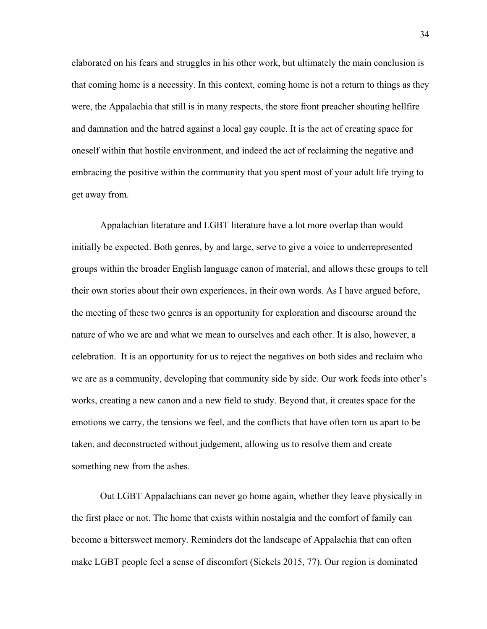elaborated on his fears and struggles in his other work, but ultimately the main conclusion is that coming home is a necessity. In this context, coming home is not a return to things as they were, the Appalachia that still is in many respects, the store front preacher shouting hellfire and damnation and the hatred against a local gay couple. It is the act of creating space for oneself within that hostile environment, and indeed the act of reclaiming the negative and embracing the positive within the community that you spent most of your adult life trying to get away from.

Appalachian literature and LGBT literature have a lot more overlap than would initially be expected. Both genres, by and large, serve to give a voice to underrepresented groups within the broader English language canon of material, and allows these groups to tell their own stories about their own experiences, in their own words. As I have argued before, the meeting of these two genres is an opportunity for exploration and discourse around the nature of who we are and what we mean to ourselves and each other. It is also, however, a celebration. It is an opportunity for us to reject the negatives on both sides and reclaim who we are as a community, developing that community side by side. Our work feeds into other's works, creating a new canon and a new field to study. Beyond that, it creates space for the emotions we carry, the tensions we feel, and the conflicts that have often torn us apart to be taken, and deconstructed without judgement, allowing us to resolve them and create something new from the ashes.

Out LGBT Appalachians can never go home again, whether they leave physically in the first place or not. The home that exists within nostalgia and the comfort of family can become a bittersweet memory. Reminders dot the landscape of Appalachia that can often make LGBT people feel a sense of discomfort (Sickels 2015, 77). Our region is dominated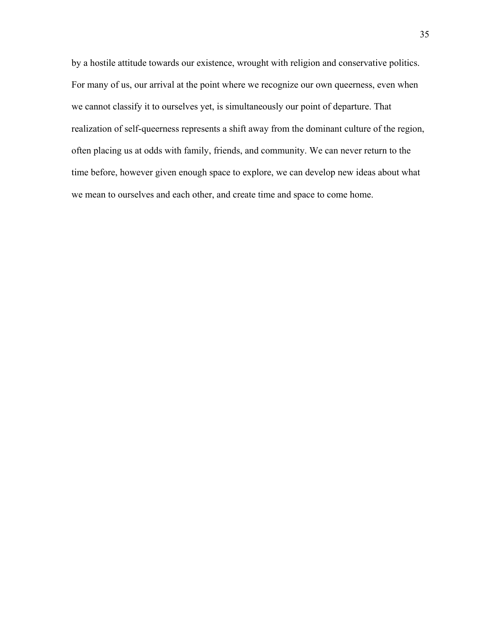by a hostile attitude towards our existence, wrought with religion and conservative politics. For many of us, our arrival at the point where we recognize our own queerness, even when we cannot classify it to ourselves yet, is simultaneously our point of departure. That realization of self-queerness represents a shift away from the dominant culture of the region, often placing us at odds with family, friends, and community. We can never return to the time before, however given enough space to explore, we can develop new ideas about what we mean to ourselves and each other, and create time and space to come home.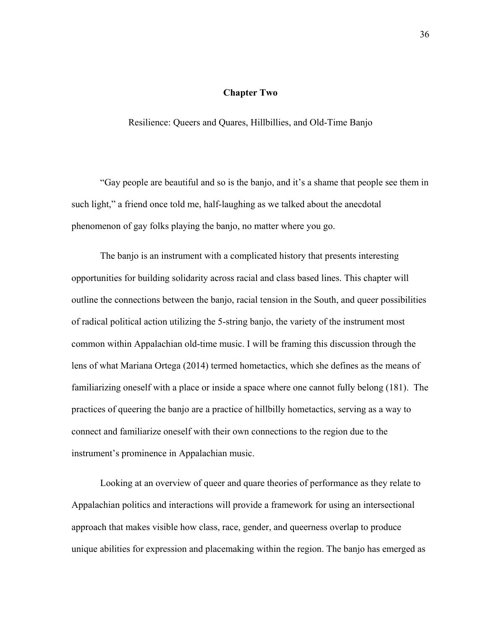# **Chapter Two**

Resilience: Queers and Quares, Hillbillies, and Old-Time Banjo

"Gay people are beautiful and so is the banjo, and it's a shame that people see them in such light," a friend once told me, half-laughing as we talked about the anecdotal phenomenon of gay folks playing the banjo, no matter where you go.

The banjo is an instrument with a complicated history that presents interesting opportunities for building solidarity across racial and class based lines. This chapter will outline the connections between the banjo, racial tension in the South, and queer possibilities of radical political action utilizing the 5-string banjo, the variety of the instrument most common within Appalachian old-time music. I will be framing this discussion through the lens of what Mariana Ortega (2014) termed hometactics, which she defines as the means of familiarizing oneself with a place or inside a space where one cannot fully belong (181). The practices of queering the banjo are a practice of hillbilly hometactics, serving as a way to connect and familiarize oneself with their own connections to the region due to the instrument's prominence in Appalachian music.

Looking at an overview of queer and quare theories of performance as they relate to Appalachian politics and interactions will provide a framework for using an intersectional approach that makes visible how class, race, gender, and queerness overlap to produce unique abilities for expression and placemaking within the region. The banjo has emerged as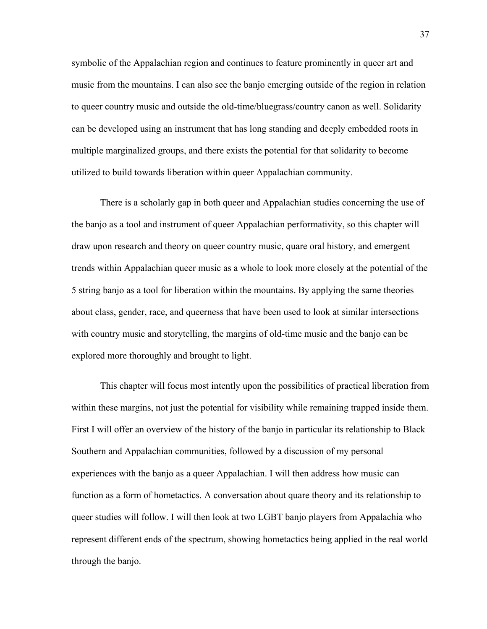symbolic of the Appalachian region and continues to feature prominently in queer art and music from the mountains. I can also see the banjo emerging outside of the region in relation to queer country music and outside the old-time/bluegrass/country canon as well. Solidarity can be developed using an instrument that has long standing and deeply embedded roots in multiple marginalized groups, and there exists the potential for that solidarity to become utilized to build towards liberation within queer Appalachian community.

There is a scholarly gap in both queer and Appalachian studies concerning the use of the banjo as a tool and instrument of queer Appalachian performativity, so this chapter will draw upon research and theory on queer country music, quare oral history, and emergent trends within Appalachian queer music as a whole to look more closely at the potential of the 5 string banjo as a tool for liberation within the mountains. By applying the same theories about class, gender, race, and queerness that have been used to look at similar intersections with country music and storytelling, the margins of old-time music and the banjo can be explored more thoroughly and brought to light.

This chapter will focus most intently upon the possibilities of practical liberation from within these margins, not just the potential for visibility while remaining trapped inside them. First I will offer an overview of the history of the banjo in particular its relationship to Black Southern and Appalachian communities, followed by a discussion of my personal experiences with the banjo as a queer Appalachian. I will then address how music can function as a form of hometactics. A conversation about quare theory and its relationship to queer studies will follow. I will then look at two LGBT banjo players from Appalachia who represent different ends of the spectrum, showing hometactics being applied in the real world through the banjo.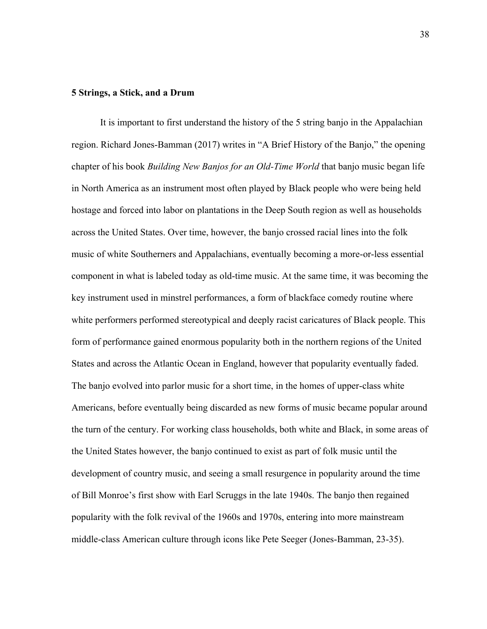### **5 Strings, a Stick, and a Drum**

It is important to first understand the history of the 5 string banjo in the Appalachian region. Richard Jones-Bamman (2017) writes in "A Brief History of the Banjo," the opening chapter of his book *Building New Banjos for an Old-Time World* that banjo music began life in North America as an instrument most often played by Black people who were being held hostage and forced into labor on plantations in the Deep South region as well as households across the United States. Over time, however, the banjo crossed racial lines into the folk music of white Southerners and Appalachians, eventually becoming a more-or-less essential component in what is labeled today as old-time music. At the same time, it was becoming the key instrument used in minstrel performances, a form of blackface comedy routine where white performers performed stereotypical and deeply racist caricatures of Black people. This form of performance gained enormous popularity both in the northern regions of the United States and across the Atlantic Ocean in England, however that popularity eventually faded. The banjo evolved into parlor music for a short time, in the homes of upper-class white Americans, before eventually being discarded as new forms of music became popular around the turn of the century. For working class households, both white and Black, in some areas of the United States however, the banjo continued to exist as part of folk music until the development of country music, and seeing a small resurgence in popularity around the time of Bill Monroe's first show with Earl Scruggs in the late 1940s. The banjo then regained popularity with the folk revival of the 1960s and 1970s, entering into more mainstream middle-class American culture through icons like Pete Seeger (Jones-Bamman, 23-35).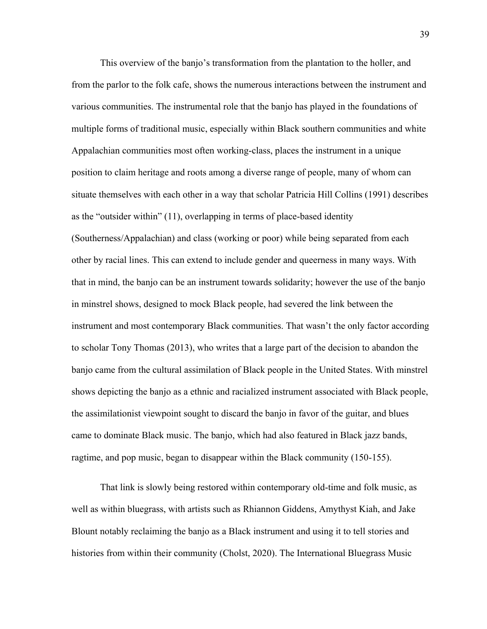This overview of the banjo's transformation from the plantation to the holler, and from the parlor to the folk cafe, shows the numerous interactions between the instrument and various communities. The instrumental role that the banjo has played in the foundations of multiple forms of traditional music, especially within Black southern communities and white Appalachian communities most often working-class, places the instrument in a unique position to claim heritage and roots among a diverse range of people, many of whom can situate themselves with each other in a way that scholar Patricia Hill Collins (1991) describes as the "outsider within" (11), overlapping in terms of place-based identity (Southerness/Appalachian) and class (working or poor) while being separated from each other by racial lines. This can extend to include gender and queerness in many ways. With that in mind, the banjo can be an instrument towards solidarity; however the use of the banjo in minstrel shows, designed to mock Black people, had severed the link between the instrument and most contemporary Black communities. That wasn't the only factor according to scholar Tony Thomas (2013), who writes that a large part of the decision to abandon the banjo came from the cultural assimilation of Black people in the United States. With minstrel shows depicting the banjo as a ethnic and racialized instrument associated with Black people, the assimilationist viewpoint sought to discard the banjo in favor of the guitar, and blues came to dominate Black music. The banjo, which had also featured in Black jazz bands, ragtime, and pop music, began to disappear within the Black community (150-155).

That link is slowly being restored within contemporary old-time and folk music, as well as within bluegrass, with artists such as Rhiannon Giddens, Amythyst Kiah, and Jake Blount notably reclaiming the banjo as a Black instrument and using it to tell stories and histories from within their community (Cholst, 2020). The International Bluegrass Music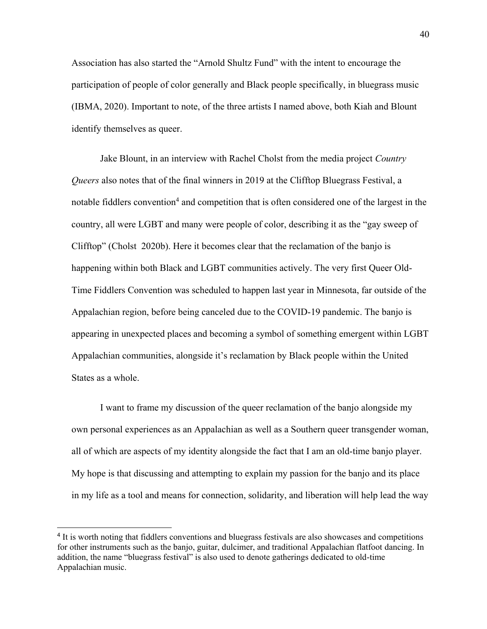Association has also started the "Arnold Shultz Fund" with the intent to encourage the participation of people of color generally and Black people specifically, in bluegrass music (IBMA, 2020). Important to note, of the three artists I named above, both Kiah and Blount identify themselves as queer.

Jake Blount, in an interview with Rachel Cholst from the media project *Country Queers* also notes that of the final winners in 2019 at the Clifftop Bluegrass Festival, a notable fiddlers convention<sup>4</sup> and competition that is often considered one of the largest in the country, all were LGBT and many were people of color, describing it as the "gay sweep of Clifftop" (Cholst 2020b). Here it becomes clear that the reclamation of the banjo is happening within both Black and LGBT communities actively. The very first Queer Old-Time Fiddlers Convention was scheduled to happen last year in Minnesota, far outside of the Appalachian region, before being canceled due to the COVID-19 pandemic. The banjo is appearing in unexpected places and becoming a symbol of something emergent within LGBT Appalachian communities, alongside it's reclamation by Black people within the United States as a whole.

I want to frame my discussion of the queer reclamation of the banjo alongside my own personal experiences as an Appalachian as well as a Southern queer transgender woman, all of which are aspects of my identity alongside the fact that I am an old-time banjo player. My hope is that discussing and attempting to explain my passion for the banjo and its place in my life as a tool and means for connection, solidarity, and liberation will help lead the way

 $\overline{a}$ 

<sup>&</sup>lt;sup>4</sup> It is worth noting that fiddlers conventions and bluegrass festivals are also showcases and competitions for other instruments such as the banjo, guitar, dulcimer, and traditional Appalachian flatfoot dancing. In addition, the name "bluegrass festival" is also used to denote gatherings dedicated to old-time Appalachian music.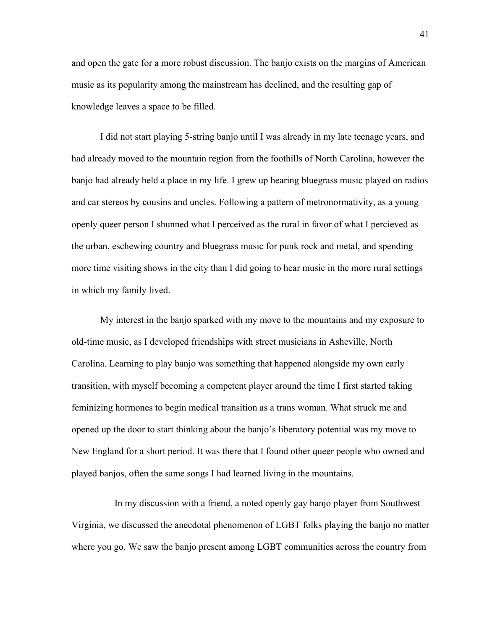and open the gate for a more robust discussion. The banjo exists on the margins of American music as its popularity among the mainstream has declined, and the resulting gap of knowledge leaves a space to be filled.

I did not start playing 5-string banjo until I was already in my late teenage years, and had already moved to the mountain region from the foothills of North Carolina, however the banjo had already held a place in my life. I grew up hearing bluegrass music played on radios and car stereos by cousins and uncles. Following a pattern of metronormativity, as a young openly queer person I shunned what I perceived as the rural in favor of what I percieved as the urban, eschewing country and bluegrass music for punk rock and metal, and spending more time visiting shows in the city than I did going to hear music in the more rural settings in which my family lived.

My interest in the banjo sparked with my move to the mountains and my exposure to old-time music, as I developed friendships with street musicians in Asheville, North Carolina. Learning to play banjo was something that happened alongside my own early transition, with myself becoming a competent player around the time I first started taking feminizing hormones to begin medical transition as a trans woman. What struck me and opened up the door to start thinking about the banjo's liberatory potential was my move to New England for a short period. It was there that I found other queer people who owned and played banjos, often the same songs I had learned living in the mountains.

In my discussion with a friend, a noted openly gay banjo player from Southwest Virginia, we discussed the anecdotal phenomenon of LGBT folks playing the banjo no matter where you go. We saw the banjo present among LGBT communities across the country from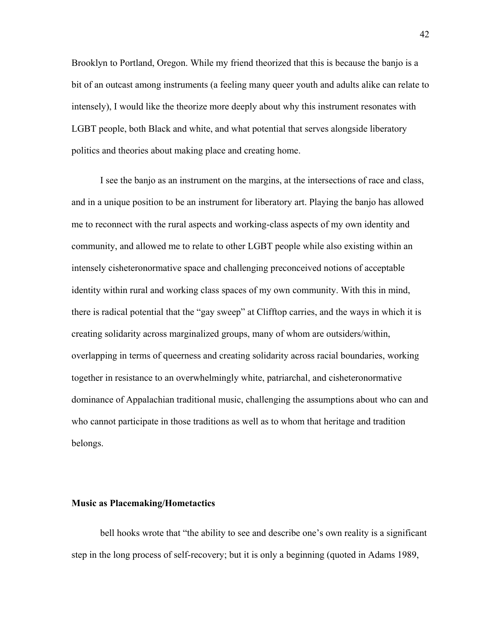Brooklyn to Portland, Oregon. While my friend theorized that this is because the banjo is a bit of an outcast among instruments (a feeling many queer youth and adults alike can relate to intensely), I would like the theorize more deeply about why this instrument resonates with LGBT people, both Black and white, and what potential that serves alongside liberatory politics and theories about making place and creating home.

I see the banjo as an instrument on the margins, at the intersections of race and class, and in a unique position to be an instrument for liberatory art. Playing the banjo has allowed me to reconnect with the rural aspects and working-class aspects of my own identity and community, and allowed me to relate to other LGBT people while also existing within an intensely cisheteronormative space and challenging preconceived notions of acceptable identity within rural and working class spaces of my own community. With this in mind, there is radical potential that the "gay sweep" at Clifftop carries, and the ways in which it is creating solidarity across marginalized groups, many of whom are outsiders/within, overlapping in terms of queerness and creating solidarity across racial boundaries, working together in resistance to an overwhelmingly white, patriarchal, and cisheteronormative dominance of Appalachian traditional music, challenging the assumptions about who can and who cannot participate in those traditions as well as to whom that heritage and tradition belongs.

## **Music as Placemaking/Hometactics**

bell hooks wrote that "the ability to see and describe one's own reality is a significant step in the long process of self-recovery; but it is only a beginning (quoted in Adams 1989,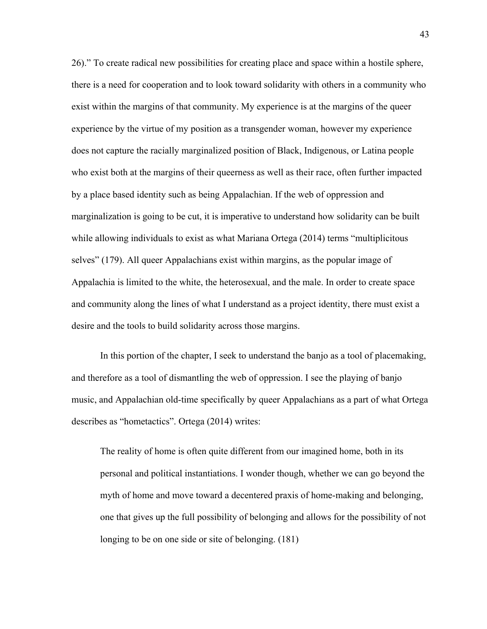26)." To create radical new possibilities for creating place and space within a hostile sphere, there is a need for cooperation and to look toward solidarity with others in a community who exist within the margins of that community. My experience is at the margins of the queer experience by the virtue of my position as a transgender woman, however my experience does not capture the racially marginalized position of Black, Indigenous, or Latina people who exist both at the margins of their queerness as well as their race, often further impacted by a place based identity such as being Appalachian. If the web of oppression and marginalization is going to be cut, it is imperative to understand how solidarity can be built while allowing individuals to exist as what Mariana Ortega (2014) terms "multiplicitous selves" (179). All queer Appalachians exist within margins, as the popular image of Appalachia is limited to the white, the heterosexual, and the male. In order to create space and community along the lines of what I understand as a project identity, there must exist a desire and the tools to build solidarity across those margins.

In this portion of the chapter, I seek to understand the banjo as a tool of placemaking, and therefore as a tool of dismantling the web of oppression. I see the playing of banjo music, and Appalachian old-time specifically by queer Appalachians as a part of what Ortega describes as "hometactics". Ortega (2014) writes:

The reality of home is often quite different from our imagined home, both in its personal and political instantiations. I wonder though, whether we can go beyond the myth of home and move toward a decentered praxis of home-making and belonging, one that gives up the full possibility of belonging and allows for the possibility of not longing to be on one side or site of belonging. (181)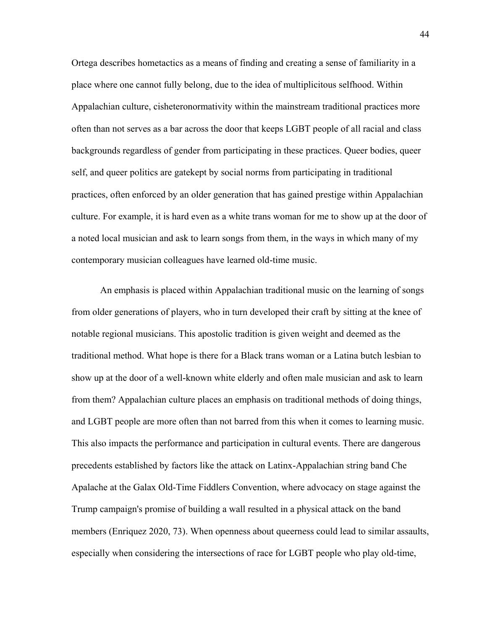Ortega describes hometactics as a means of finding and creating a sense of familiarity in a place where one cannot fully belong, due to the idea of multiplicitous selfhood. Within Appalachian culture, cisheteronormativity within the mainstream traditional practices more often than not serves as a bar across the door that keeps LGBT people of all racial and class backgrounds regardless of gender from participating in these practices. Queer bodies, queer self, and queer politics are gatekept by social norms from participating in traditional practices, often enforced by an older generation that has gained prestige within Appalachian culture. For example, it is hard even as a white trans woman for me to show up at the door of a noted local musician and ask to learn songs from them, in the ways in which many of my contemporary musician colleagues have learned old-time music.

An emphasis is placed within Appalachian traditional music on the learning of songs from older generations of players, who in turn developed their craft by sitting at the knee of notable regional musicians. This apostolic tradition is given weight and deemed as the traditional method. What hope is there for a Black trans woman or a Latina butch lesbian to show up at the door of a well-known white elderly and often male musician and ask to learn from them? Appalachian culture places an emphasis on traditional methods of doing things, and LGBT people are more often than not barred from this when it comes to learning music. This also impacts the performance and participation in cultural events. There are dangerous precedents established by factors like the attack on Latinx-Appalachian string band Che Apalache at the Galax Old-Time Fiddlers Convention, where advocacy on stage against the Trump campaign's promise of building a wall resulted in a physical attack on the band members (Enriquez 2020, 73). When openness about queerness could lead to similar assaults, especially when considering the intersections of race for LGBT people who play old-time,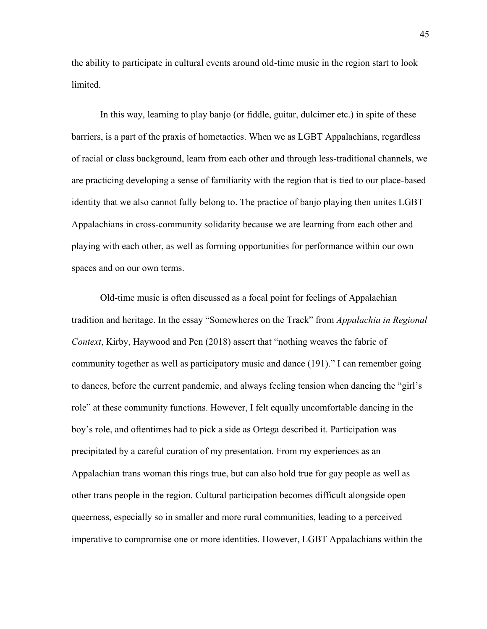the ability to participate in cultural events around old-time music in the region start to look limited.

In this way, learning to play banjo (or fiddle, guitar, dulcimer etc.) in spite of these barriers, is a part of the praxis of hometactics. When we as LGBT Appalachians, regardless of racial or class background, learn from each other and through less-traditional channels, we are practicing developing a sense of familiarity with the region that is tied to our place-based identity that we also cannot fully belong to. The practice of banjo playing then unites LGBT Appalachians in cross-community solidarity because we are learning from each other and playing with each other, as well as forming opportunities for performance within our own spaces and on our own terms.

Old-time music is often discussed as a focal point for feelings of Appalachian tradition and heritage. In the essay "Somewheres on the Track" from *Appalachia in Regional Context*, Kirby, Haywood and Pen (2018) assert that "nothing weaves the fabric of community together as well as participatory music and dance (191)." I can remember going to dances, before the current pandemic, and always feeling tension when dancing the "girl's role" at these community functions. However, I felt equally uncomfortable dancing in the boy's role, and oftentimes had to pick a side as Ortega described it. Participation was precipitated by a careful curation of my presentation. From my experiences as an Appalachian trans woman this rings true, but can also hold true for gay people as well as other trans people in the region. Cultural participation becomes difficult alongside open queerness, especially so in smaller and more rural communities, leading to a perceived imperative to compromise one or more identities. However, LGBT Appalachians within the

45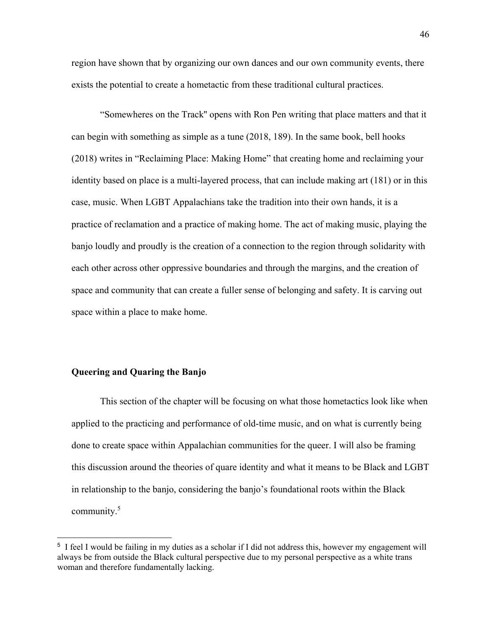region have shown that by organizing our own dances and our own community events, there exists the potential to create a hometactic from these traditional cultural practices.

"Somewheres on the Track'' opens with Ron Pen writing that place matters and that it can begin with something as simple as a tune (2018, 189). In the same book, bell hooks (2018) writes in "Reclaiming Place: Making Home" that creating home and reclaiming your identity based on place is a multi-layered process, that can include making art (181) or in this case, music. When LGBT Appalachians take the tradition into their own hands, it is a practice of reclamation and a practice of making home. The act of making music, playing the banjo loudly and proudly is the creation of a connection to the region through solidarity with each other across other oppressive boundaries and through the margins, and the creation of space and community that can create a fuller sense of belonging and safety. It is carving out space within a place to make home.

# **Queering and Quaring the Banjo**

 $\overline{a}$ 

This section of the chapter will be focusing on what those hometactics look like when applied to the practicing and performance of old-time music, and on what is currently being done to create space within Appalachian communities for the queer. I will also be framing this discussion around the theories of quare identity and what it means to be Black and LGBT in relationship to the banjo, considering the banjo's foundational roots within the Black community.<sup>5</sup>

<sup>&</sup>lt;sup>5</sup> I feel I would be failing in my duties as a scholar if I did not address this, however my engagement will always be from outside the Black cultural perspective due to my personal perspective as a white trans woman and therefore fundamentally lacking.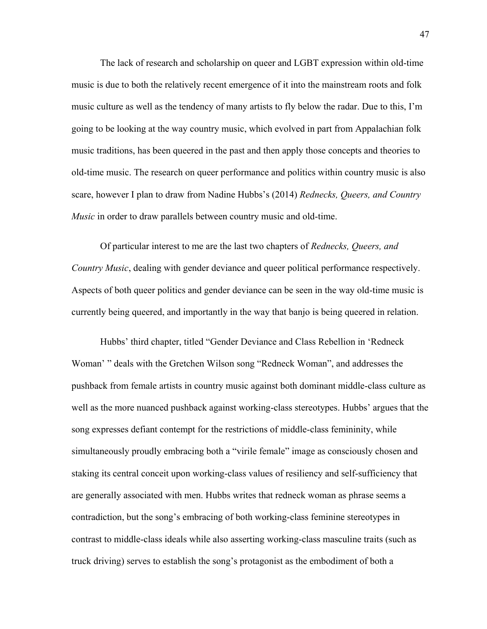The lack of research and scholarship on queer and LGBT expression within old-time music is due to both the relatively recent emergence of it into the mainstream roots and folk music culture as well as the tendency of many artists to fly below the radar. Due to this, I'm going to be looking at the way country music, which evolved in part from Appalachian folk music traditions, has been queered in the past and then apply those concepts and theories to old-time music. The research on queer performance and politics within country music is also scare, however I plan to draw from Nadine Hubbs's (2014) *Rednecks, Queers, and Country Music* in order to draw parallels between country music and old-time.

Of particular interest to me are the last two chapters of *Rednecks, Queers, and Country Music*, dealing with gender deviance and queer political performance respectively. Aspects of both queer politics and gender deviance can be seen in the way old-time music is currently being queered, and importantly in the way that banjo is being queered in relation.

Hubbs' third chapter, titled "Gender Deviance and Class Rebellion in 'Redneck Woman' " deals with the Gretchen Wilson song "Redneck Woman", and addresses the pushback from female artists in country music against both dominant middle-class culture as well as the more nuanced pushback against working-class stereotypes. Hubbs' argues that the song expresses defiant contempt for the restrictions of middle-class femininity, while simultaneously proudly embracing both a "virile female" image as consciously chosen and staking its central conceit upon working-class values of resiliency and self-sufficiency that are generally associated with men. Hubbs writes that redneck woman as phrase seems a contradiction, but the song's embracing of both working-class feminine stereotypes in contrast to middle-class ideals while also asserting working-class masculine traits (such as truck driving) serves to establish the song's protagonist as the embodiment of both a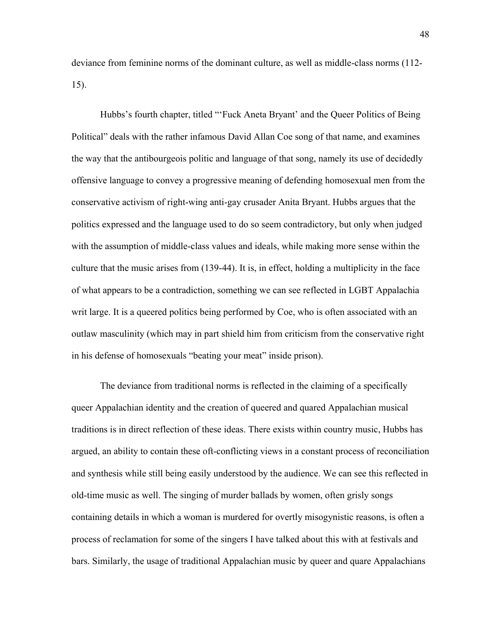deviance from feminine norms of the dominant culture, as well as middle-class norms (112- 15).

Hubbs's fourth chapter, titled "'Fuck Aneta Bryant' and the Queer Politics of Being Political" deals with the rather infamous David Allan Coe song of that name, and examines the way that the antibourgeois politic and language of that song, namely its use of decidedly offensive language to convey a progressive meaning of defending homosexual men from the conservative activism of right-wing anti-gay crusader Anita Bryant. Hubbs argues that the politics expressed and the language used to do so seem contradictory, but only when judged with the assumption of middle-class values and ideals, while making more sense within the culture that the music arises from (139-44). It is, in effect, holding a multiplicity in the face of what appears to be a contradiction, something we can see reflected in LGBT Appalachia writ large. It is a queered politics being performed by Coe, who is often associated with an outlaw masculinity (which may in part shield him from criticism from the conservative right in his defense of homosexuals "beating your meat" inside prison).

The deviance from traditional norms is reflected in the claiming of a specifically queer Appalachian identity and the creation of queered and quared Appalachian musical traditions is in direct reflection of these ideas. There exists within country music, Hubbs has argued, an ability to contain these oft-conflicting views in a constant process of reconciliation and synthesis while still being easily understood by the audience. We can see this reflected in old-time music as well. The singing of murder ballads by women, often grisly songs containing details in which a woman is murdered for overtly misogynistic reasons, is often a process of reclamation for some of the singers I have talked about this with at festivals and bars. Similarly, the usage of traditional Appalachian music by queer and quare Appalachians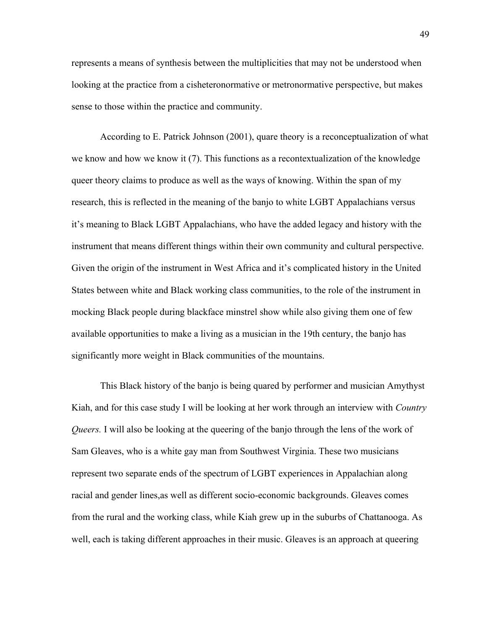represents a means of synthesis between the multiplicities that may not be understood when looking at the practice from a cisheteronormative or metronormative perspective, but makes sense to those within the practice and community.

According to E. Patrick Johnson (2001), quare theory is a reconceptualization of what we know and how we know it (7). This functions as a recontextualization of the knowledge queer theory claims to produce as well as the ways of knowing. Within the span of my research, this is reflected in the meaning of the banjo to white LGBT Appalachians versus it's meaning to Black LGBT Appalachians, who have the added legacy and history with the instrument that means different things within their own community and cultural perspective. Given the origin of the instrument in West Africa and it's complicated history in the United States between white and Black working class communities, to the role of the instrument in mocking Black people during blackface minstrel show while also giving them one of few available opportunities to make a living as a musician in the 19th century, the banjo has significantly more weight in Black communities of the mountains.

This Black history of the banjo is being quared by performer and musician Amythyst Kiah, and for this case study I will be looking at her work through an interview with *Country Queers.* I will also be looking at the queering of the banjo through the lens of the work of Sam Gleaves, who is a white gay man from Southwest Virginia. These two musicians represent two separate ends of the spectrum of LGBT experiences in Appalachian along racial and gender lines,as well as different socio-economic backgrounds. Gleaves comes from the rural and the working class, while Kiah grew up in the suburbs of Chattanooga. As well, each is taking different approaches in their music. Gleaves is an approach at queering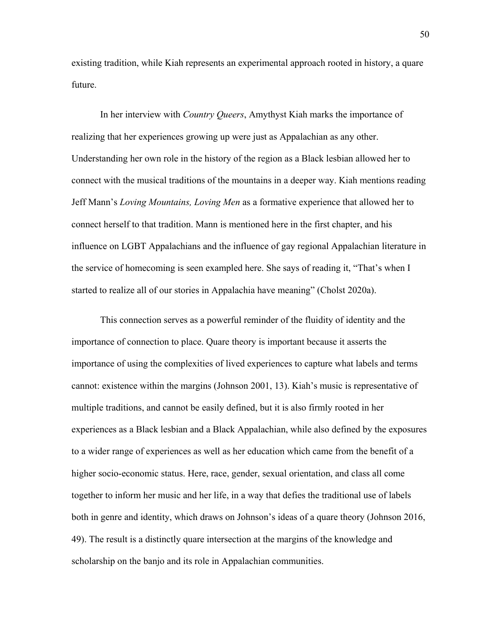existing tradition, while Kiah represents an experimental approach rooted in history, a quare future.

In her interview with *Country Queers*, Amythyst Kiah marks the importance of realizing that her experiences growing up were just as Appalachian as any other. Understanding her own role in the history of the region as a Black lesbian allowed her to connect with the musical traditions of the mountains in a deeper way. Kiah mentions reading Jeff Mann's *Loving Mountains, Loving Men* as a formative experience that allowed her to connect herself to that tradition. Mann is mentioned here in the first chapter, and his influence on LGBT Appalachians and the influence of gay regional Appalachian literature in the service of homecoming is seen exampled here. She says of reading it, "That's when I started to realize all of our stories in Appalachia have meaning" (Cholst 2020a).

This connection serves as a powerful reminder of the fluidity of identity and the importance of connection to place. Quare theory is important because it asserts the importance of using the complexities of lived experiences to capture what labels and terms cannot: existence within the margins (Johnson 2001, 13). Kiah's music is representative of multiple traditions, and cannot be easily defined, but it is also firmly rooted in her experiences as a Black lesbian and a Black Appalachian, while also defined by the exposures to a wider range of experiences as well as her education which came from the benefit of a higher socio-economic status. Here, race, gender, sexual orientation, and class all come together to inform her music and her life, in a way that defies the traditional use of labels both in genre and identity, which draws on Johnson's ideas of a quare theory (Johnson 2016, 49). The result is a distinctly quare intersection at the margins of the knowledge and scholarship on the banjo and its role in Appalachian communities.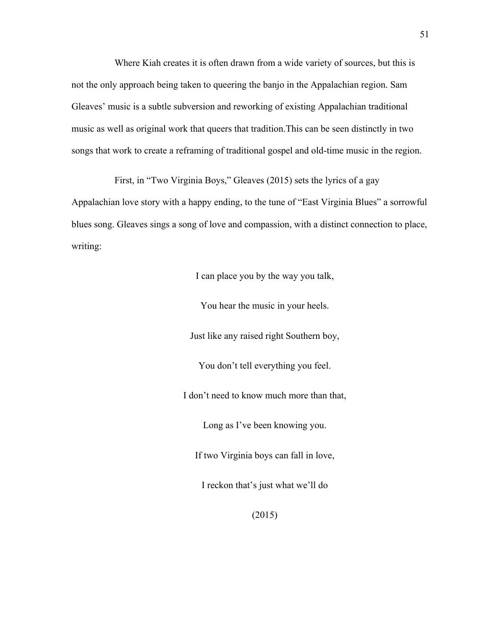Where Kiah creates it is often drawn from a wide variety of sources, but this is not the only approach being taken to queering the banjo in the Appalachian region. Sam Gleaves' music is a subtle subversion and reworking of existing Appalachian traditional music as well as original work that queers that tradition.This can be seen distinctly in two songs that work to create a reframing of traditional gospel and old-time music in the region.

First, in "Two Virginia Boys," Gleaves (2015) sets the lyrics of a gay Appalachian love story with a happy ending, to the tune of "East Virginia Blues" a sorrowful blues song. Gleaves sings a song of love and compassion, with a distinct connection to place, writing:

I can place you by the way you talk,

You hear the music in your heels.

Just like any raised right Southern boy,

You don't tell everything you feel.

I don't need to know much more than that,

Long as I've been knowing you.

If two Virginia boys can fall in love,

I reckon that's just what we'll do

(2015)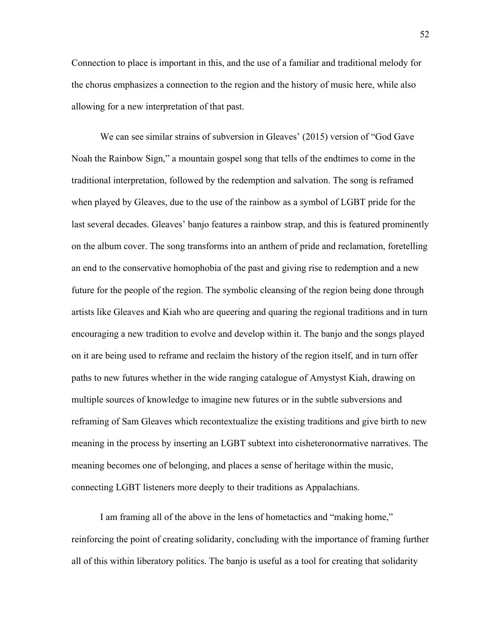Connection to place is important in this, and the use of a familiar and traditional melody for the chorus emphasizes a connection to the region and the history of music here, while also allowing for a new interpretation of that past.

We can see similar strains of subversion in Gleaves' (2015) version of "God Gave Noah the Rainbow Sign," a mountain gospel song that tells of the endtimes to come in the traditional interpretation, followed by the redemption and salvation. The song is reframed when played by Gleaves, due to the use of the rainbow as a symbol of LGBT pride for the last several decades. Gleaves' banjo features a rainbow strap, and this is featured prominently on the album cover. The song transforms into an anthem of pride and reclamation, foretelling an end to the conservative homophobia of the past and giving rise to redemption and a new future for the people of the region. The symbolic cleansing of the region being done through artists like Gleaves and Kiah who are queering and quaring the regional traditions and in turn encouraging a new tradition to evolve and develop within it. The banjo and the songs played on it are being used to reframe and reclaim the history of the region itself, and in turn offer paths to new futures whether in the wide ranging catalogue of Amystyst Kiah, drawing on multiple sources of knowledge to imagine new futures or in the subtle subversions and reframing of Sam Gleaves which recontextualize the existing traditions and give birth to new meaning in the process by inserting an LGBT subtext into cisheteronormative narratives. The meaning becomes one of belonging, and places a sense of heritage within the music, connecting LGBT listeners more deeply to their traditions as Appalachians.

I am framing all of the above in the lens of hometactics and "making home," reinforcing the point of creating solidarity, concluding with the importance of framing further all of this within liberatory politics. The banjo is useful as a tool for creating that solidarity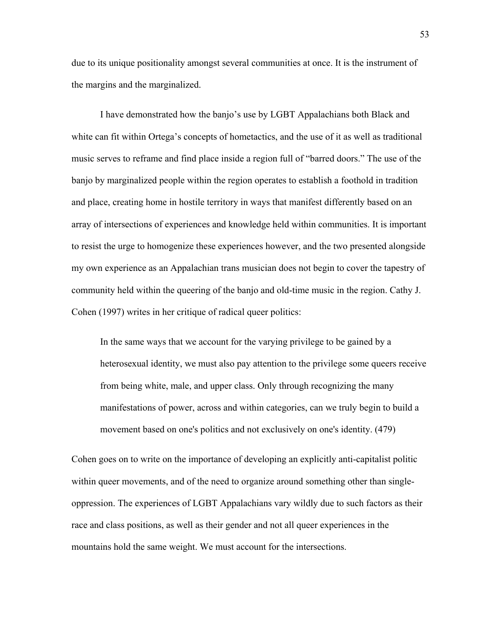due to its unique positionality amongst several communities at once. It is the instrument of the margins and the marginalized.

I have demonstrated how the banjo's use by LGBT Appalachians both Black and white can fit within Ortega's concepts of hometactics, and the use of it as well as traditional music serves to reframe and find place inside a region full of "barred doors." The use of the banjo by marginalized people within the region operates to establish a foothold in tradition and place, creating home in hostile territory in ways that manifest differently based on an array of intersections of experiences and knowledge held within communities. It is important to resist the urge to homogenize these experiences however, and the two presented alongside my own experience as an Appalachian trans musician does not begin to cover the tapestry of community held within the queering of the banjo and old-time music in the region. Cathy J. Cohen (1997) writes in her critique of radical queer politics:

In the same ways that we account for the varying privilege to be gained by a heterosexual identity, we must also pay attention to the privilege some queers receive from being white, male, and upper class. Only through recognizing the many manifestations of power, across and within categories, can we truly begin to build a movement based on one's politics and not exclusively on one's identity. (479)

Cohen goes on to write on the importance of developing an explicitly anti-capitalist politic within queer movements, and of the need to organize around something other than singleoppression. The experiences of LGBT Appalachians vary wildly due to such factors as their race and class positions, as well as their gender and not all queer experiences in the mountains hold the same weight. We must account for the intersections.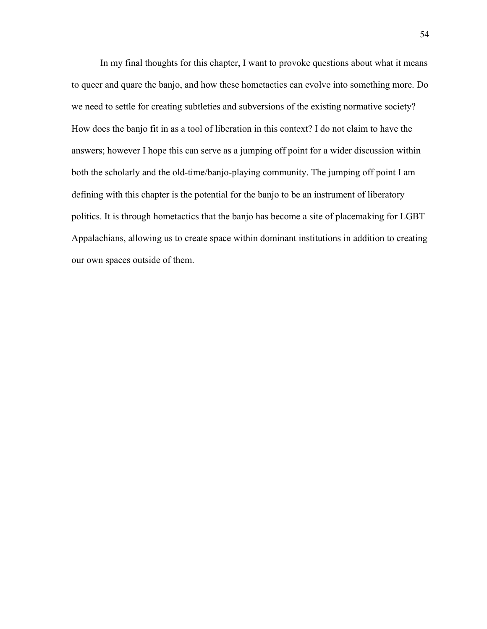In my final thoughts for this chapter, I want to provoke questions about what it means to queer and quare the banjo, and how these hometactics can evolve into something more. Do we need to settle for creating subtleties and subversions of the existing normative society? How does the banjo fit in as a tool of liberation in this context? I do not claim to have the answers; however I hope this can serve as a jumping off point for a wider discussion within both the scholarly and the old-time/banjo-playing community. The jumping off point I am defining with this chapter is the potential for the banjo to be an instrument of liberatory politics. It is through hometactics that the banjo has become a site of placemaking for LGBT Appalachians, allowing us to create space within dominant institutions in addition to creating our own spaces outside of them.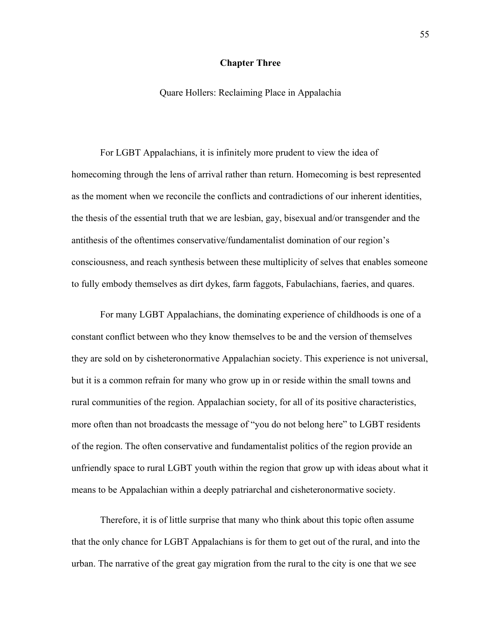# **Chapter Three**

Quare Hollers: Reclaiming Place in Appalachia

For LGBT Appalachians, it is infinitely more prudent to view the idea of homecoming through the lens of arrival rather than return. Homecoming is best represented as the moment when we reconcile the conflicts and contradictions of our inherent identities, the thesis of the essential truth that we are lesbian, gay, bisexual and/or transgender and the antithesis of the oftentimes conservative/fundamentalist domination of our region's consciousness, and reach synthesis between these multiplicity of selves that enables someone to fully embody themselves as dirt dykes, farm faggots, Fabulachians, faeries, and quares.

For many LGBT Appalachians, the dominating experience of childhoods is one of a constant conflict between who they know themselves to be and the version of themselves they are sold on by cisheteronormative Appalachian society. This experience is not universal, but it is a common refrain for many who grow up in or reside within the small towns and rural communities of the region. Appalachian society, for all of its positive characteristics, more often than not broadcasts the message of "you do not belong here" to LGBT residents of the region. The often conservative and fundamentalist politics of the region provide an unfriendly space to rural LGBT youth within the region that grow up with ideas about what it means to be Appalachian within a deeply patriarchal and cisheteronormative society.

Therefore, it is of little surprise that many who think about this topic often assume that the only chance for LGBT Appalachians is for them to get out of the rural, and into the urban. The narrative of the great gay migration from the rural to the city is one that we see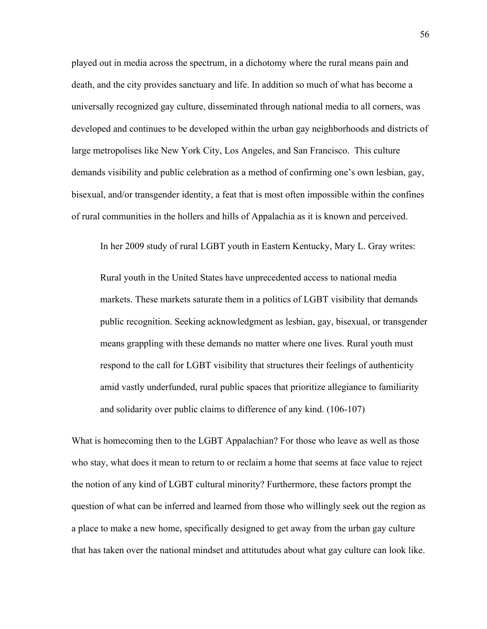played out in media across the spectrum, in a dichotomy where the rural means pain and death, and the city provides sanctuary and life. In addition so much of what has become a universally recognized gay culture, disseminated through national media to all corners, was developed and continues to be developed within the urban gay neighborhoods and districts of large metropolises like New York City, Los Angeles, and San Francisco. This culture demands visibility and public celebration as a method of confirming one's own lesbian, gay, bisexual, and/or transgender identity, a feat that is most often impossible within the confines of rural communities in the hollers and hills of Appalachia as it is known and perceived.

In her 2009 study of rural LGBT youth in Eastern Kentucky, Mary L. Gray writes:

Rural youth in the United States have unprecedented access to national media markets. These markets saturate them in a politics of LGBT visibility that demands public recognition. Seeking acknowledgment as lesbian, gay, bisexual, or transgender means grappling with these demands no matter where one lives. Rural youth must respond to the call for LGBT visibility that structures their feelings of authenticity amid vastly underfunded, rural public spaces that prioritize allegiance to familiarity and solidarity over public claims to difference of any kind. (106-107)

What is homecoming then to the LGBT Appalachian? For those who leave as well as those who stay, what does it mean to return to or reclaim a home that seems at face value to reject the notion of any kind of LGBT cultural minority? Furthermore, these factors prompt the question of what can be inferred and learned from those who willingly seek out the region as a place to make a new home, specifically designed to get away from the urban gay culture that has taken over the national mindset and attitutudes about what gay culture can look like.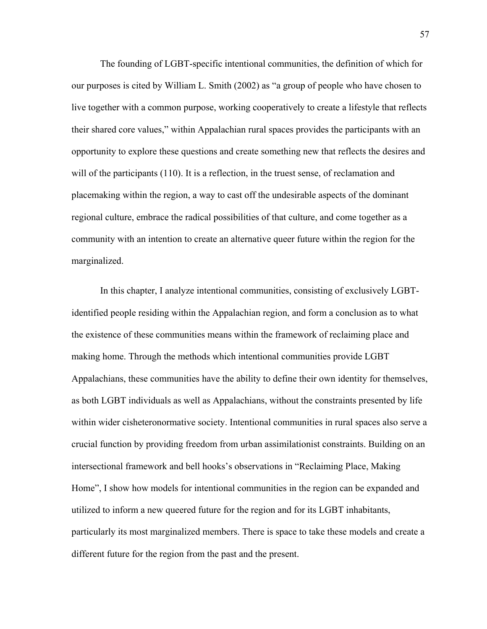The founding of LGBT-specific intentional communities, the definition of which for our purposes is cited by William L. Smith (2002) as "a group of people who have chosen to live together with a common purpose, working cooperatively to create a lifestyle that reflects their shared core values," within Appalachian rural spaces provides the participants with an opportunity to explore these questions and create something new that reflects the desires and will of the participants (110). It is a reflection, in the truest sense, of reclamation and placemaking within the region, a way to cast off the undesirable aspects of the dominant regional culture, embrace the radical possibilities of that culture, and come together as a community with an intention to create an alternative queer future within the region for the marginalized.

In this chapter, I analyze intentional communities, consisting of exclusively LGBTidentified people residing within the Appalachian region, and form a conclusion as to what the existence of these communities means within the framework of reclaiming place and making home. Through the methods which intentional communities provide LGBT Appalachians, these communities have the ability to define their own identity for themselves, as both LGBT individuals as well as Appalachians, without the constraints presented by life within wider cisheteronormative society. Intentional communities in rural spaces also serve a crucial function by providing freedom from urban assimilationist constraints. Building on an intersectional framework and bell hooks's observations in "Reclaiming Place, Making Home", I show how models for intentional communities in the region can be expanded and utilized to inform a new queered future for the region and for its LGBT inhabitants, particularly its most marginalized members. There is space to take these models and create a different future for the region from the past and the present.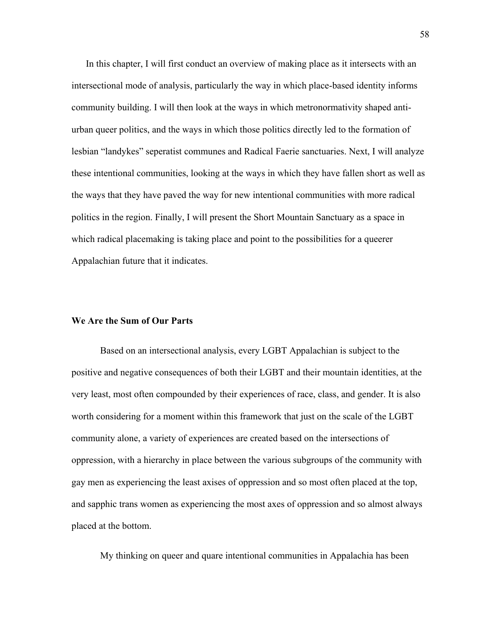In this chapter, I will first conduct an overview of making place as it intersects with an intersectional mode of analysis, particularly the way in which place-based identity informs community building. I will then look at the ways in which metronormativity shaped antiurban queer politics, and the ways in which those politics directly led to the formation of lesbian "landykes" seperatist communes and Radical Faerie sanctuaries. Next, I will analyze these intentional communities, looking at the ways in which they have fallen short as well as the ways that they have paved the way for new intentional communities with more radical politics in the region. Finally, I will present the Short Mountain Sanctuary as a space in which radical placemaking is taking place and point to the possibilities for a queerer Appalachian future that it indicates.

#### **We Are the Sum of Our Parts**

Based on an intersectional analysis, every LGBT Appalachian is subject to the positive and negative consequences of both their LGBT and their mountain identities, at the very least, most often compounded by their experiences of race, class, and gender. It is also worth considering for a moment within this framework that just on the scale of the LGBT community alone, a variety of experiences are created based on the intersections of oppression, with a hierarchy in place between the various subgroups of the community with gay men as experiencing the least axises of oppression and so most often placed at the top, and sapphic trans women as experiencing the most axes of oppression and so almost always placed at the bottom.

My thinking on queer and quare intentional communities in Appalachia has been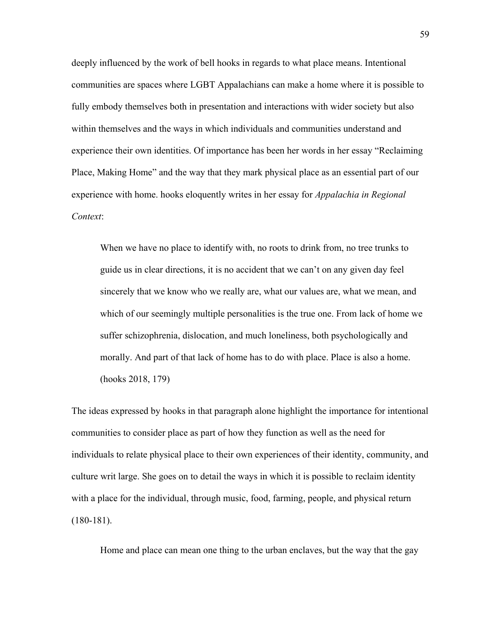deeply influenced by the work of bell hooks in regards to what place means. Intentional communities are spaces where LGBT Appalachians can make a home where it is possible to fully embody themselves both in presentation and interactions with wider society but also within themselves and the ways in which individuals and communities understand and experience their own identities. Of importance has been her words in her essay "Reclaiming Place, Making Home" and the way that they mark physical place as an essential part of our experience with home. hooks eloquently writes in her essay for *Appalachia in Regional Context*:

When we have no place to identify with, no roots to drink from, no tree trunks to guide us in clear directions, it is no accident that we can't on any given day feel sincerely that we know who we really are, what our values are, what we mean, and which of our seemingly multiple personalities is the true one. From lack of home we suffer schizophrenia, dislocation, and much loneliness, both psychologically and morally. And part of that lack of home has to do with place. Place is also a home. (hooks 2018, 179)

The ideas expressed by hooks in that paragraph alone highlight the importance for intentional communities to consider place as part of how they function as well as the need for individuals to relate physical place to their own experiences of their identity, community, and culture writ large. She goes on to detail the ways in which it is possible to reclaim identity with a place for the individual, through music, food, farming, people, and physical return (180-181).

Home and place can mean one thing to the urban enclaves, but the way that the gay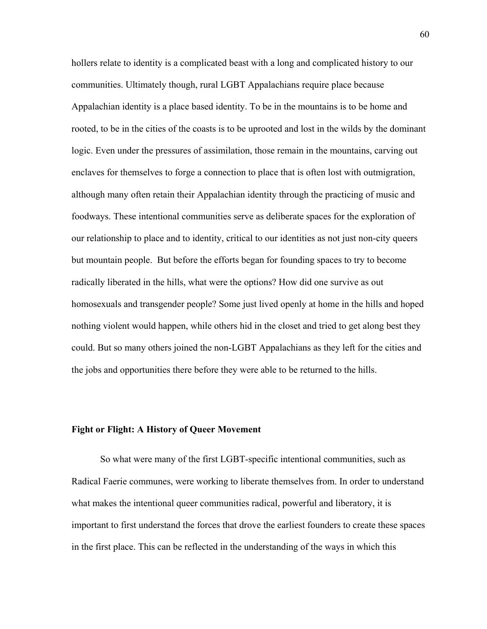hollers relate to identity is a complicated beast with a long and complicated history to our communities. Ultimately though, rural LGBT Appalachians require place because Appalachian identity is a place based identity. To be in the mountains is to be home and rooted, to be in the cities of the coasts is to be uprooted and lost in the wilds by the dominant logic. Even under the pressures of assimilation, those remain in the mountains, carving out enclaves for themselves to forge a connection to place that is often lost with outmigration, although many often retain their Appalachian identity through the practicing of music and foodways. These intentional communities serve as deliberate spaces for the exploration of our relationship to place and to identity, critical to our identities as not just non-city queers but mountain people. But before the efforts began for founding spaces to try to become radically liberated in the hills, what were the options? How did one survive as out homosexuals and transgender people? Some just lived openly at home in the hills and hoped nothing violent would happen, while others hid in the closet and tried to get along best they could. But so many others joined the non-LGBT Appalachians as they left for the cities and the jobs and opportunities there before they were able to be returned to the hills.

# **Fight or Flight: A History of Queer Movement**

So what were many of the first LGBT-specific intentional communities, such as Radical Faerie communes, were working to liberate themselves from. In order to understand what makes the intentional queer communities radical, powerful and liberatory, it is important to first understand the forces that drove the earliest founders to create these spaces in the first place. This can be reflected in the understanding of the ways in which this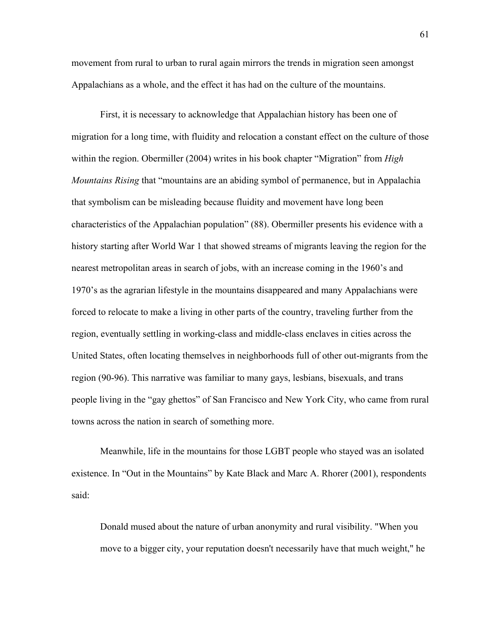movement from rural to urban to rural again mirrors the trends in migration seen amongst Appalachians as a whole, and the effect it has had on the culture of the mountains.

First, it is necessary to acknowledge that Appalachian history has been one of migration for a long time, with fluidity and relocation a constant effect on the culture of those within the region. Obermiller (2004) writes in his book chapter "Migration" from *High Mountains Rising* that "mountains are an abiding symbol of permanence, but in Appalachia that symbolism can be misleading because fluidity and movement have long been characteristics of the Appalachian population" (88). Obermiller presents his evidence with a history starting after World War 1 that showed streams of migrants leaving the region for the nearest metropolitan areas in search of jobs, with an increase coming in the 1960's and 1970's as the agrarian lifestyle in the mountains disappeared and many Appalachians were forced to relocate to make a living in other parts of the country, traveling further from the region, eventually settling in working-class and middle-class enclaves in cities across the United States, often locating themselves in neighborhoods full of other out-migrants from the region (90-96). This narrative was familiar to many gays, lesbians, bisexuals, and trans people living in the "gay ghettos" of San Francisco and New York City, who came from rural towns across the nation in search of something more.

Meanwhile, life in the mountains for those LGBT people who stayed was an isolated existence. In "Out in the Mountains" by Kate Black and Marc A. Rhorer (2001), respondents said:

Donald mused about the nature of urban anonymity and rural visibility. "When you move to a bigger city, your reputation doesn't necessarily have that much weight," he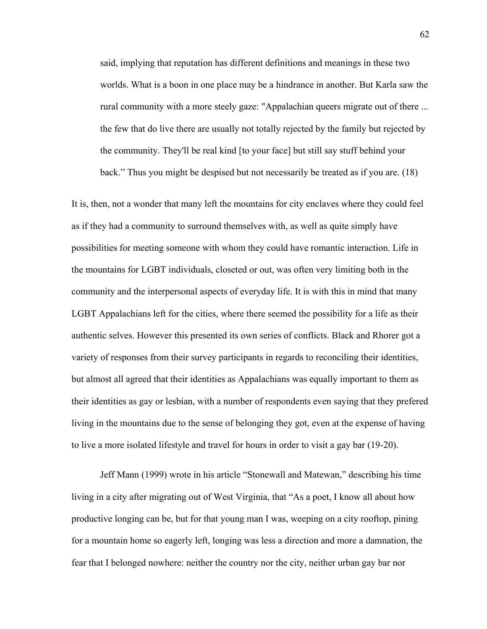said, implying that reputation has different definitions and meanings in these two worlds. What is a boon in one place may be a hindrance in another. But Karla saw the rural community with a more steely gaze: "Appalachian queers migrate out of there ... the few that do live there are usually not totally rejected by the family but rejected by the community. They'll be real kind [to your face] but still say stuff behind your back." Thus you might be despised but not necessarily be treated as if you are. (18)

It is, then, not a wonder that many left the mountains for city enclaves where they could feel as if they had a community to surround themselves with, as well as quite simply have possibilities for meeting someone with whom they could have romantic interaction. Life in the mountains for LGBT individuals, closeted or out, was often very limiting both in the community and the interpersonal aspects of everyday life. It is with this in mind that many LGBT Appalachians left for the cities, where there seemed the possibility for a life as their authentic selves. However this presented its own series of conflicts. Black and Rhorer got a variety of responses from their survey participants in regards to reconciling their identities, but almost all agreed that their identities as Appalachians was equally important to them as their identities as gay or lesbian, with a number of respondents even saying that they prefered living in the mountains due to the sense of belonging they got, even at the expense of having to live a more isolated lifestyle and travel for hours in order to visit a gay bar (19-20).

Jeff Mann (1999) wrote in his article "Stonewall and Matewan," describing his time living in a city after migrating out of West Virginia, that "As a poet, I know all about how productive longing can be, but for that young man I was, weeping on a city rooftop, pining for a mountain home so eagerly left, longing was less a direction and more a damnation, the fear that I belonged nowhere: neither the country nor the city, neither urban gay bar nor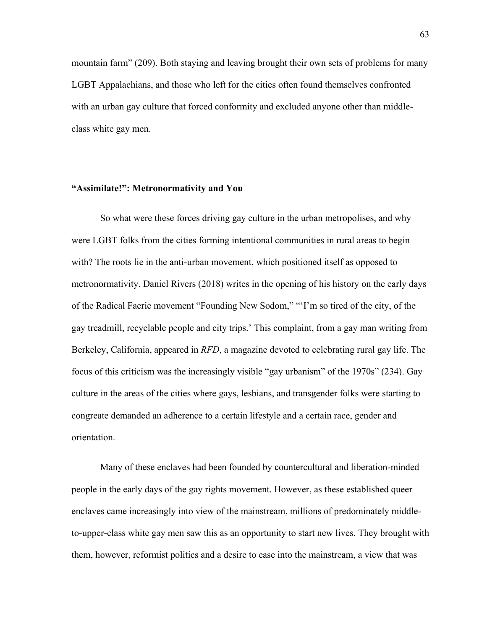mountain farm" (209). Both staying and leaving brought their own sets of problems for many LGBT Appalachians, and those who left for the cities often found themselves confronted with an urban gay culture that forced conformity and excluded anyone other than middleclass white gay men.

# **"Assimilate!": Metronormativity and You**

So what were these forces driving gay culture in the urban metropolises, and why were LGBT folks from the cities forming intentional communities in rural areas to begin with? The roots lie in the anti-urban movement, which positioned itself as opposed to metronormativity. Daniel Rivers (2018) writes in the opening of his history on the early days of the Radical Faerie movement "Founding New Sodom," "'I'm so tired of the city, of the gay treadmill, recyclable people and city trips.' This complaint, from a gay man writing from Berkeley, California, appeared in *RFD*, a magazine devoted to celebrating rural gay life. The focus of this criticism was the increasingly visible "gay urbanism" of the 1970s" (234). Gay culture in the areas of the cities where gays, lesbians, and transgender folks were starting to congreate demanded an adherence to a certain lifestyle and a certain race, gender and orientation.

Many of these enclaves had been founded by countercultural and liberation-minded people in the early days of the gay rights movement. However, as these established queer enclaves came increasingly into view of the mainstream, millions of predominately middleto-upper-class white gay men saw this as an opportunity to start new lives. They brought with them, however, reformist politics and a desire to ease into the mainstream, a view that was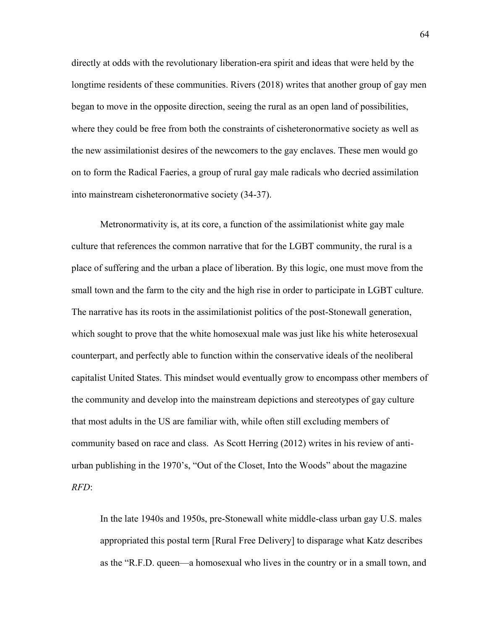directly at odds with the revolutionary liberation-era spirit and ideas that were held by the longtime residents of these communities. Rivers (2018) writes that another group of gay men began to move in the opposite direction, seeing the rural as an open land of possibilities, where they could be free from both the constraints of cisheteronormative society as well as the new assimilationist desires of the newcomers to the gay enclaves. These men would go on to form the Radical Faeries, a group of rural gay male radicals who decried assimilation into mainstream cisheteronormative society (34-37).

Metronormativity is, at its core, a function of the assimilationist white gay male culture that references the common narrative that for the LGBT community, the rural is a place of suffering and the urban a place of liberation. By this logic, one must move from the small town and the farm to the city and the high rise in order to participate in LGBT culture. The narrative has its roots in the assimilationist politics of the post-Stonewall generation, which sought to prove that the white homosexual male was just like his white heterosexual counterpart, and perfectly able to function within the conservative ideals of the neoliberal capitalist United States. This mindset would eventually grow to encompass other members of the community and develop into the mainstream depictions and stereotypes of gay culture that most adults in the US are familiar with, while often still excluding members of community based on race and class. As Scott Herring (2012) writes in his review of antiurban publishing in the 1970's, "Out of the Closet, Into the Woods" about the magazine *RFD*:

In the late 1940s and 1950s, pre-Stonewall white middle-class urban gay U.S. males appropriated this postal term [Rural Free Delivery] to disparage what Katz describes as the "R.F.D. queen—a homosexual who lives in the country or in a small town, and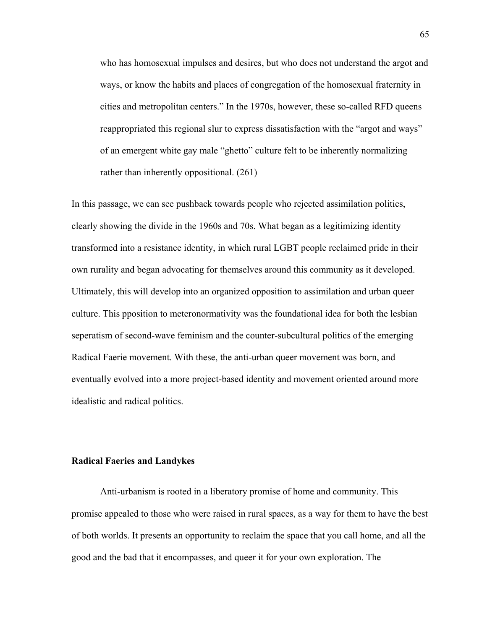who has homosexual impulses and desires, but who does not understand the argot and ways, or know the habits and places of congregation of the homosexual fraternity in cities and metropolitan centers." In the 1970s, however, these so-called RFD queens reappropriated this regional slur to express dissatisfaction with the "argot and ways" of an emergent white gay male "ghetto" culture felt to be inherently normalizing rather than inherently oppositional. (261)

In this passage, we can see pushback towards people who rejected assimilation politics, clearly showing the divide in the 1960s and 70s. What began as a legitimizing identity transformed into a resistance identity, in which rural LGBT people reclaimed pride in their own rurality and began advocating for themselves around this community as it developed. Ultimately, this will develop into an organized opposition to assimilation and urban queer culture. This pposition to meteronormativity was the foundational idea for both the lesbian seperatism of second-wave feminism and the counter-subcultural politics of the emerging Radical Faerie movement. With these, the anti-urban queer movement was born, and eventually evolved into a more project-based identity and movement oriented around more idealistic and radical politics.

### **Radical Faeries and Landykes**

Anti-urbanism is rooted in a liberatory promise of home and community. This promise appealed to those who were raised in rural spaces, as a way for them to have the best of both worlds. It presents an opportunity to reclaim the space that you call home, and all the good and the bad that it encompasses, and queer it for your own exploration. The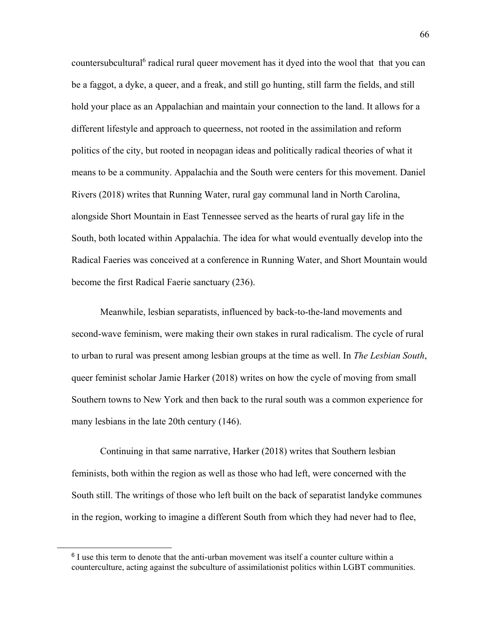countersubcultural<sup>6</sup> radical rural queer movement has it dyed into the wool that that you can be a faggot, a dyke, a queer, and a freak, and still go hunting, still farm the fields, and still hold your place as an Appalachian and maintain your connection to the land. It allows for a different lifestyle and approach to queerness, not rooted in the assimilation and reform politics of the city, but rooted in neopagan ideas and politically radical theories of what it means to be a community. Appalachia and the South were centers for this movement. Daniel Rivers (2018) writes that Running Water, rural gay communal land in North Carolina, alongside Short Mountain in East Tennessee served as the hearts of rural gay life in the South, both located within Appalachia. The idea for what would eventually develop into the Radical Faeries was conceived at a conference in Running Water, and Short Mountain would become the first Radical Faerie sanctuary (236).

Meanwhile, lesbian separatists, influenced by back-to-the-land movements and second-wave feminism, were making their own stakes in rural radicalism. The cycle of rural to urban to rural was present among lesbian groups at the time as well. In *The Lesbian South*, queer feminist scholar Jamie Harker (2018) writes on how the cycle of moving from small Southern towns to New York and then back to the rural south was a common experience for many lesbians in the late 20th century (146).

Continuing in that same narrative, Harker (2018) writes that Southern lesbian feminists, both within the region as well as those who had left, were concerned with the South still. The writings of those who left built on the back of separatist landyke communes in the region, working to imagine a different South from which they had never had to flee,

 $\overline{a}$ 

<sup>&</sup>lt;sup>6</sup> I use this term to denote that the anti-urban movement was itself a counter culture within a counterculture, acting against the subculture of assimilationist politics within LGBT communities.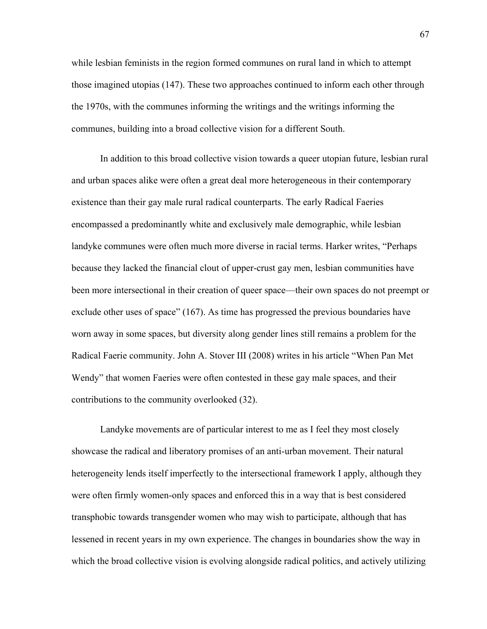while lesbian feminists in the region formed communes on rural land in which to attempt those imagined utopias (147). These two approaches continued to inform each other through the 1970s, with the communes informing the writings and the writings informing the communes, building into a broad collective vision for a different South.

In addition to this broad collective vision towards a queer utopian future, lesbian rural and urban spaces alike were often a great deal more heterogeneous in their contemporary existence than their gay male rural radical counterparts. The early Radical Faeries encompassed a predominantly white and exclusively male demographic, while lesbian landyke communes were often much more diverse in racial terms. Harker writes, "Perhaps because they lacked the financial clout of upper-crust gay men, lesbian communities have been more intersectional in their creation of queer space—their own spaces do not preempt or exclude other uses of space" (167). As time has progressed the previous boundaries have worn away in some spaces, but diversity along gender lines still remains a problem for the Radical Faerie community. John A. Stover III (2008) writes in his article "When Pan Met Wendy" that women Faeries were often contested in these gay male spaces, and their contributions to the community overlooked (32).

Landyke movements are of particular interest to me as I feel they most closely showcase the radical and liberatory promises of an anti-urban movement. Their natural heterogeneity lends itself imperfectly to the intersectional framework I apply, although they were often firmly women-only spaces and enforced this in a way that is best considered transphobic towards transgender women who may wish to participate, although that has lessened in recent years in my own experience. The changes in boundaries show the way in which the broad collective vision is evolving alongside radical politics, and actively utilizing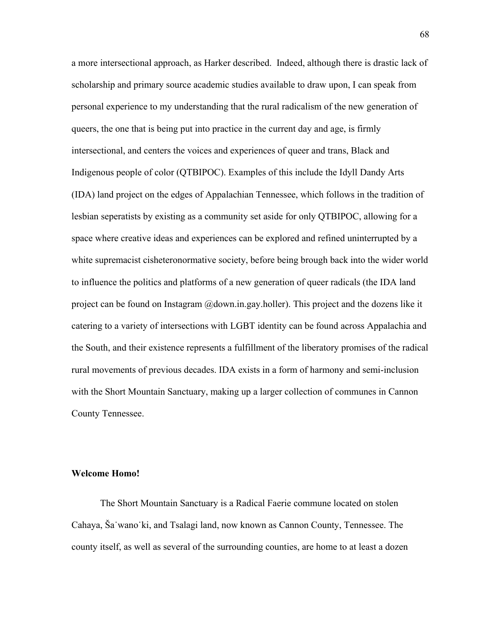a more intersectional approach, as Harker described. Indeed, although there is drastic lack of scholarship and primary source academic studies available to draw upon, I can speak from personal experience to my understanding that the rural radicalism of the new generation of queers, the one that is being put into practice in the current day and age, is firmly intersectional, and centers the voices and experiences of queer and trans, Black and Indigenous people of color (QTBIPOC). Examples of this include the Idyll Dandy Arts (IDA) land project on the edges of Appalachian Tennessee, which follows in the tradition of lesbian seperatists by existing as a community set aside for only QTBIPOC, allowing for a space where creative ideas and experiences can be explored and refined uninterrupted by a white supremacist cisheteronormative society, before being brough back into the wider world to influence the politics and platforms of a new generation of queer radicals (the IDA land project can be found on Instagram @down.in.gay.holler). This project and the dozens like it catering to a variety of intersections with LGBT identity can be found across Appalachia and the South, and their existence represents a fulfillment of the liberatory promises of the radical rural movements of previous decades. IDA exists in a form of harmony and semi-inclusion with the Short Mountain Sanctuary, making up a larger collection of communes in Cannon County Tennessee.

## **Welcome Homo!**

The Short Mountain Sanctuary is a Radical Faerie commune located on stolen Cahaya, Ša˙wano˙ki, and Tsalagi land, now known as Cannon County, Tennessee. The county itself, as well as several of the surrounding counties, are home to at least a dozen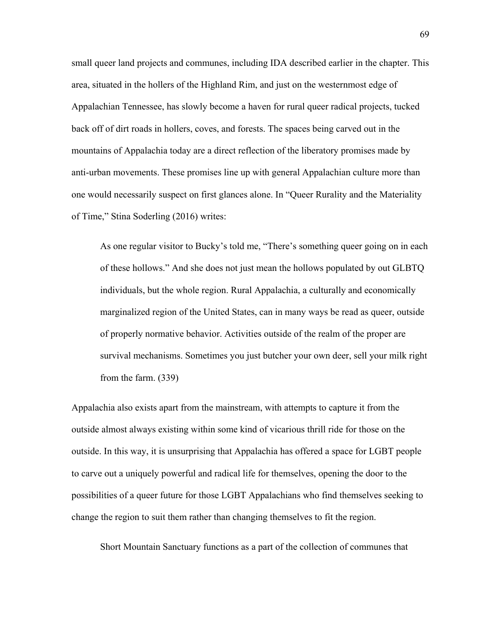small queer land projects and communes, including IDA described earlier in the chapter. This area, situated in the hollers of the Highland Rim, and just on the westernmost edge of Appalachian Tennessee, has slowly become a haven for rural queer radical projects, tucked back off of dirt roads in hollers, coves, and forests. The spaces being carved out in the mountains of Appalachia today are a direct reflection of the liberatory promises made by anti-urban movements. These promises line up with general Appalachian culture more than one would necessarily suspect on first glances alone. In "Queer Rurality and the Materiality of Time," Stina Soderling (2016) writes:

As one regular visitor to Bucky's told me, "There's something queer going on in each of these hollows." And she does not just mean the hollows populated by out GLBTQ individuals, but the whole region. Rural Appalachia, a culturally and economically marginalized region of the United States, can in many ways be read as queer, outside of properly normative behavior. Activities outside of the realm of the proper are survival mechanisms. Sometimes you just butcher your own deer, sell your milk right from the farm. (339)

Appalachia also exists apart from the mainstream, with attempts to capture it from the outside almost always existing within some kind of vicarious thrill ride for those on the outside. In this way, it is unsurprising that Appalachia has offered a space for LGBT people to carve out a uniquely powerful and radical life for themselves, opening the door to the possibilities of a queer future for those LGBT Appalachians who find themselves seeking to change the region to suit them rather than changing themselves to fit the region.

Short Mountain Sanctuary functions as a part of the collection of communes that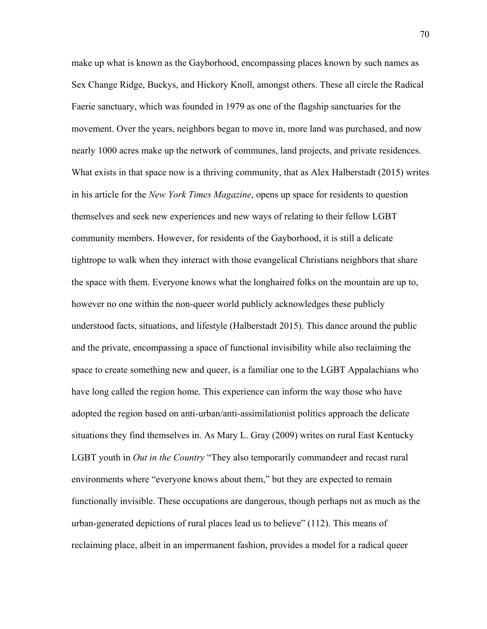make up what is known as the Gayborhood, encompassing places known by such names as Sex Change Ridge, Buckys, and Hickory Knoll, amongst others. These all circle the Radical Faerie sanctuary, which was founded in 1979 as one of the flagship sanctuaries for the movement. Over the years, neighbors began to move in, more land was purchased, and now nearly 1000 acres make up the network of communes, land projects, and private residences. What exists in that space now is a thriving community, that as Alex Halberstadt (2015) writes in his article for the *New York Times Magazine*, opens up space for residents to question themselves and seek new experiences and new ways of relating to their fellow LGBT community members. However, for residents of the Gayborhood, it is still a delicate tightrope to walk when they interact with those evangelical Christians neighbors that share the space with them. Everyone knows what the longhaired folks on the mountain are up to, however no one within the non-queer world publicly acknowledges these publicly understood facts, situations, and lifestyle (Halberstadt 2015). This dance around the public and the private, encompassing a space of functional invisibility while also reclaiming the space to create something new and queer, is a familiar one to the LGBT Appalachians who have long called the region home. This experience can inform the way those who have adopted the region based on anti-urban/anti-assimilationist politics approach the delicate situations they find themselves in. As Mary L. Gray (2009) writes on rural East Kentucky LGBT youth in *Out in the Country* "They also temporarily commandeer and recast rural environments where "everyone knows about them," but they are expected to remain functionally invisible. These occupations are dangerous, though perhaps not as much as the urban-generated depictions of rural places lead us to believe" (112). This means of reclaiming place, albeit in an impermanent fashion, provides a model for a radical queer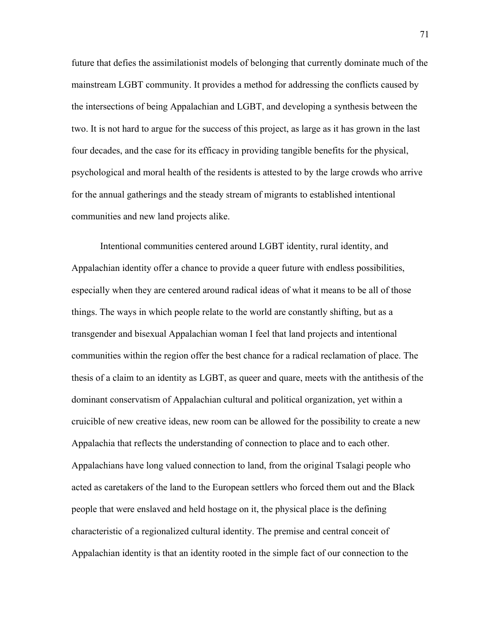future that defies the assimilationist models of belonging that currently dominate much of the mainstream LGBT community. It provides a method for addressing the conflicts caused by the intersections of being Appalachian and LGBT, and developing a synthesis between the two. It is not hard to argue for the success of this project, as large as it has grown in the last four decades, and the case for its efficacy in providing tangible benefits for the physical, psychological and moral health of the residents is attested to by the large crowds who arrive for the annual gatherings and the steady stream of migrants to established intentional communities and new land projects alike.

Intentional communities centered around LGBT identity, rural identity, and Appalachian identity offer a chance to provide a queer future with endless possibilities, especially when they are centered around radical ideas of what it means to be all of those things. The ways in which people relate to the world are constantly shifting, but as a transgender and bisexual Appalachian woman I feel that land projects and intentional communities within the region offer the best chance for a radical reclamation of place. The thesis of a claim to an identity as LGBT, as queer and quare, meets with the antithesis of the dominant conservatism of Appalachian cultural and political organization, yet within a cruicible of new creative ideas, new room can be allowed for the possibility to create a new Appalachia that reflects the understanding of connection to place and to each other. Appalachians have long valued connection to land, from the original Tsalagi people who acted as caretakers of the land to the European settlers who forced them out and the Black people that were enslaved and held hostage on it, the physical place is the defining characteristic of a regionalized cultural identity. The premise and central conceit of Appalachian identity is that an identity rooted in the simple fact of our connection to the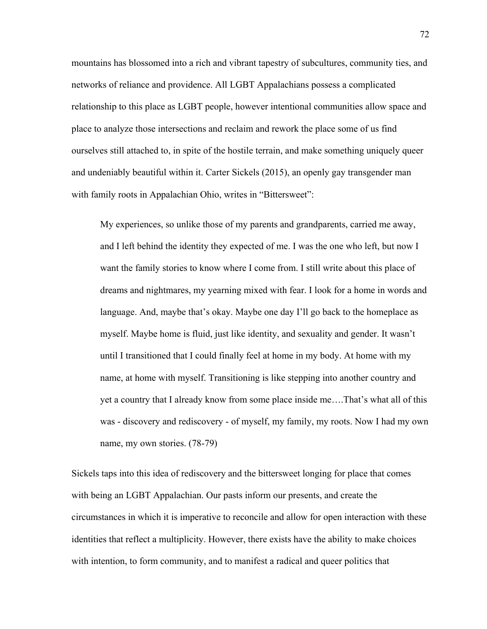mountains has blossomed into a rich and vibrant tapestry of subcultures, community ties, and networks of reliance and providence. All LGBT Appalachians possess a complicated relationship to this place as LGBT people, however intentional communities allow space and place to analyze those intersections and reclaim and rework the place some of us find ourselves still attached to, in spite of the hostile terrain, and make something uniquely queer and undeniably beautiful within it. Carter Sickels (2015), an openly gay transgender man with family roots in Appalachian Ohio, writes in "Bittersweet":

My experiences, so unlike those of my parents and grandparents, carried me away, and I left behind the identity they expected of me. I was the one who left, but now I want the family stories to know where I come from. I still write about this place of dreams and nightmares, my yearning mixed with fear. I look for a home in words and language. And, maybe that's okay. Maybe one day I'll go back to the homeplace as myself. Maybe home is fluid, just like identity, and sexuality and gender. It wasn't until I transitioned that I could finally feel at home in my body. At home with my name, at home with myself. Transitioning is like stepping into another country and yet a country that I already know from some place inside me….That's what all of this was - discovery and rediscovery - of myself, my family, my roots. Now I had my own name, my own stories. (78-79)

Sickels taps into this idea of rediscovery and the bittersweet longing for place that comes with being an LGBT Appalachian. Our pasts inform our presents, and create the circumstances in which it is imperative to reconcile and allow for open interaction with these identities that reflect a multiplicity. However, there exists have the ability to make choices with intention, to form community, and to manifest a radical and queer politics that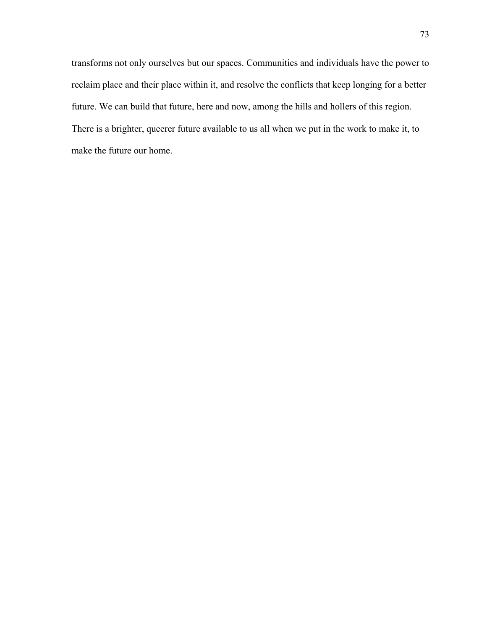transforms not only ourselves but our spaces. Communities and individuals have the power to reclaim place and their place within it, and resolve the conflicts that keep longing for a better future. We can build that future, here and now, among the hills and hollers of this region. There is a brighter, queerer future available to us all when we put in the work to make it, to make the future our home.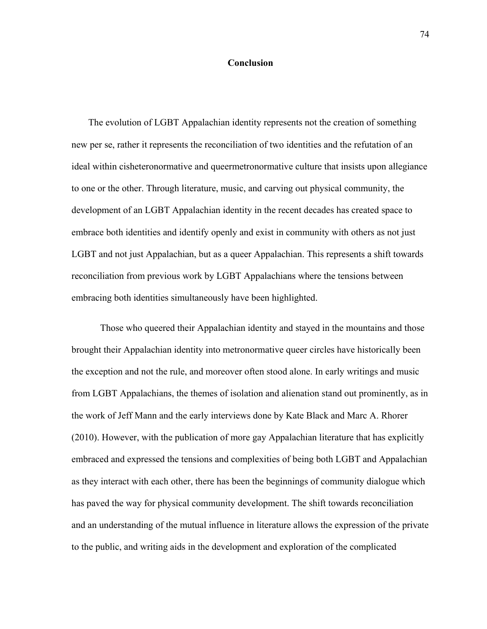#### **Conclusion**

The evolution of LGBT Appalachian identity represents not the creation of something new per se, rather it represents the reconciliation of two identities and the refutation of an ideal within cisheteronormative and queermetronormative culture that insists upon allegiance to one or the other. Through literature, music, and carving out physical community, the development of an LGBT Appalachian identity in the recent decades has created space to embrace both identities and identify openly and exist in community with others as not just LGBT and not just Appalachian, but as a queer Appalachian. This represents a shift towards reconciliation from previous work by LGBT Appalachians where the tensions between embracing both identities simultaneously have been highlighted.

Those who queered their Appalachian identity and stayed in the mountains and those brought their Appalachian identity into metronormative queer circles have historically been the exception and not the rule, and moreover often stood alone. In early writings and music from LGBT Appalachians, the themes of isolation and alienation stand out prominently, as in the work of Jeff Mann and the early interviews done by Kate Black and Marc A. Rhorer (2010). However, with the publication of more gay Appalachian literature that has explicitly embraced and expressed the tensions and complexities of being both LGBT and Appalachian as they interact with each other, there has been the beginnings of community dialogue which has paved the way for physical community development. The shift towards reconciliation and an understanding of the mutual influence in literature allows the expression of the private to the public, and writing aids in the development and exploration of the complicated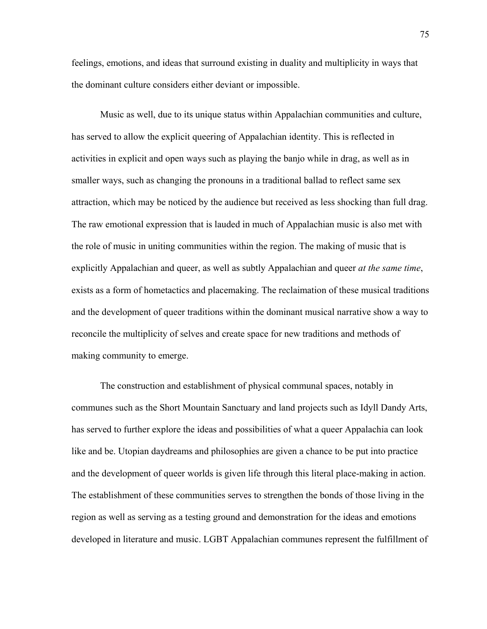feelings, emotions, and ideas that surround existing in duality and multiplicity in ways that the dominant culture considers either deviant or impossible.

Music as well, due to its unique status within Appalachian communities and culture, has served to allow the explicit queering of Appalachian identity. This is reflected in activities in explicit and open ways such as playing the banjo while in drag, as well as in smaller ways, such as changing the pronouns in a traditional ballad to reflect same sex attraction, which may be noticed by the audience but received as less shocking than full drag. The raw emotional expression that is lauded in much of Appalachian music is also met with the role of music in uniting communities within the region. The making of music that is explicitly Appalachian and queer, as well as subtly Appalachian and queer *at the same time*, exists as a form of hometactics and placemaking. The reclaimation of these musical traditions and the development of queer traditions within the dominant musical narrative show a way to reconcile the multiplicity of selves and create space for new traditions and methods of making community to emerge.

The construction and establishment of physical communal spaces, notably in communes such as the Short Mountain Sanctuary and land projects such as Idyll Dandy Arts, has served to further explore the ideas and possibilities of what a queer Appalachia can look like and be. Utopian daydreams and philosophies are given a chance to be put into practice and the development of queer worlds is given life through this literal place-making in action. The establishment of these communities serves to strengthen the bonds of those living in the region as well as serving as a testing ground and demonstration for the ideas and emotions developed in literature and music. LGBT Appalachian communes represent the fulfillment of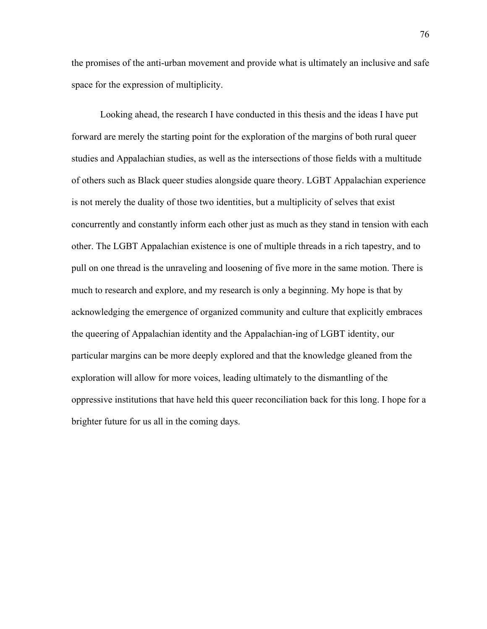the promises of the anti-urban movement and provide what is ultimately an inclusive and safe space for the expression of multiplicity.

Looking ahead, the research I have conducted in this thesis and the ideas I have put forward are merely the starting point for the exploration of the margins of both rural queer studies and Appalachian studies, as well as the intersections of those fields with a multitude of others such as Black queer studies alongside quare theory. LGBT Appalachian experience is not merely the duality of those two identities, but a multiplicity of selves that exist concurrently and constantly inform each other just as much as they stand in tension with each other. The LGBT Appalachian existence is one of multiple threads in a rich tapestry, and to pull on one thread is the unraveling and loosening of five more in the same motion. There is much to research and explore, and my research is only a beginning. My hope is that by acknowledging the emergence of organized community and culture that explicitly embraces the queering of Appalachian identity and the Appalachian-ing of LGBT identity, our particular margins can be more deeply explored and that the knowledge gleaned from the exploration will allow for more voices, leading ultimately to the dismantling of the oppressive institutions that have held this queer reconciliation back for this long. I hope for a brighter future for us all in the coming days.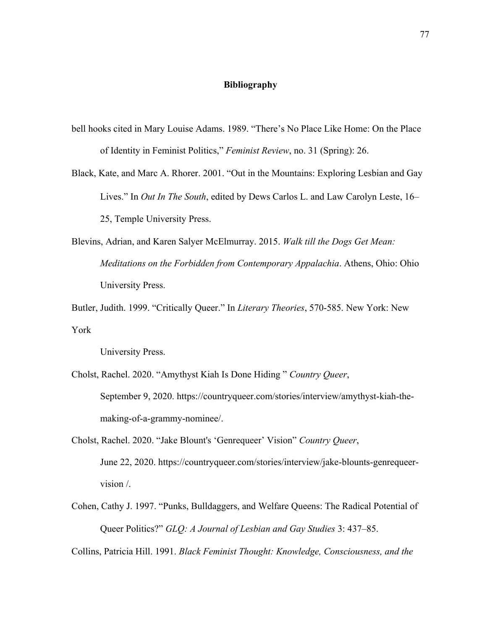### **Bibliography**

- bell hooks cited in Mary Louise Adams. 1989. "There's No Place Like Home: On the Place of Identity in Feminist Politics," *Feminist Review*, no. 31 (Spring): 26.
- Black, Kate, and Marc A. Rhorer. 2001. "Out in the Mountains: Exploring Lesbian and Gay Lives." In *Out In The South*, edited by Dews Carlos L. and Law Carolyn Leste, 16– 25, Temple University Press.
- Blevins, Adrian, and Karen Salyer McElmurray. 2015. *Walk till the Dogs Get Mean: Meditations on the Forbidden from Contemporary Appalachia*. Athens, Ohio: Ohio University Press.
- Butler, Judith. 1999. "Critically Queer." In *Literary Theories*, 570-585. New York: New York
	- University Press.
- Cholst, Rachel. 2020. "Amythyst Kiah Is Done Hiding " *Country Queer*, September 9, 2020. https://countryqueer.com/stories/interview/amythyst-kiah-themaking-of-a-grammy-nominee/.
- Cholst, Rachel. 2020. "Jake Blount's 'Genrequeer' Vision" *Country Queer*, June 22, 2020. https://countryqueer.com/stories/interview/jake-blounts-genrequeervision /.
- Cohen, Cathy J. 1997. "Punks, Bulldaggers, and Welfare Queens: The Radical Potential of Queer Politics?" *GLQ: A Journal of Lesbian and Gay Studies* 3: 437–85.

Collins, Patricia Hill. 1991. *Black Feminist Thought: Knowledge, Consciousness, and the*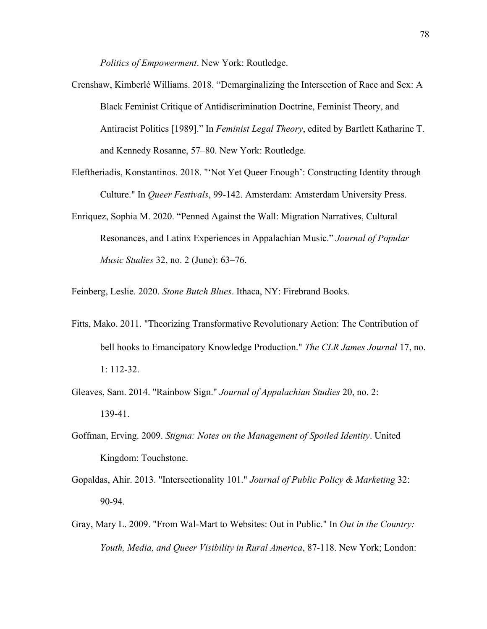*Politics of Empowerment*. New York: Routledge.

- Crenshaw, Kimberlé Williams. 2018. "Demarginalizing the Intersection of Race and Sex: A Black Feminist Critique of Antidiscrimination Doctrine, Feminist Theory, and Antiracist Politics [1989]." In *Feminist Legal Theory*, edited by Bartlett Katharine T. and Kennedy Rosanne, 57–80. New York: Routledge.
- Eleftheriadis, Konstantinos. 2018. "'Not Yet Queer Enough': Constructing Identity through Culture." In *Queer Festivals*, 99-142. Amsterdam: Amsterdam University Press.
- Enriquez, Sophia M. 2020. "Penned Against the Wall: Migration Narratives, Cultural Resonances, and Latinx Experiences in Appalachian Music." *Journal of Popular Music Studies* 32, no. 2 (June): 63–76.

Feinberg, Leslie. 2020. *Stone Butch Blues*. Ithaca, NY: Firebrand Books.

- Fitts, Mako. 2011. "Theorizing Transformative Revolutionary Action: The Contribution of bell hooks to Emancipatory Knowledge Production." *The CLR James Journal* 17, no. 1: 112-32.
- Gleaves, Sam. 2014. "Rainbow Sign." *Journal of Appalachian Studies* 20, no. 2: 139-41.
- Goffman, Erving. 2009. *Stigma: Notes on the Management of Spoiled Identity*. United Kingdom: Touchstone.
- Gopaldas, Ahir. 2013. "Intersectionality 101." *Journal of Public Policy & Marketing* 32: 90-94.
- Gray, Mary L. 2009. "From Wal-Mart to Websites: Out in Public." In *Out in the Country: Youth, Media, and Queer Visibility in Rural America*, 87-118. New York; London: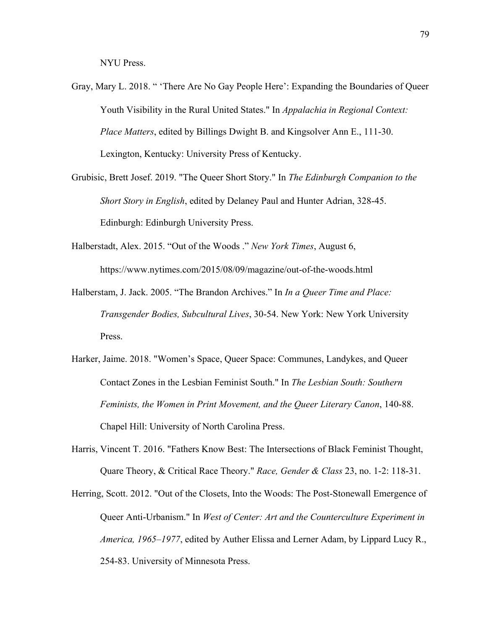NYU Press.

- Gray, Mary L. 2018. " 'There Are No Gay People Here': Expanding the Boundaries of Queer Youth Visibility in the Rural United States." In *Appalachia in Regional Context: Place Matters*, edited by Billings Dwight B. and Kingsolver Ann E., 111-30. Lexington, Kentucky: University Press of Kentucky.
- Grubisic, Brett Josef. 2019. "The Queer Short Story." In *The Edinburgh Companion to the Short Story in English*, edited by Delaney Paul and Hunter Adrian, 328-45. Edinburgh: Edinburgh University Press.
- Halberstadt, Alex. 2015. "Out of the Woods ." *New York Times*, August 6, https://www.nytimes.com/2015/08/09/magazine/out-of-the-woods.html
- Halberstam, J. Jack. 2005. "The Brandon Archives." In *In a Queer Time and Place: Transgender Bodies, Subcultural Lives*, 30-54. New York: New York University Press.
- Harker, Jaime. 2018. "Women's Space, Queer Space: Communes, Landykes, and Queer Contact Zones in the Lesbian Feminist South." In *The Lesbian South: Southern Feminists, the Women in Print Movement, and the Queer Literary Canon*, 140-88. Chapel Hill: University of North Carolina Press.
- Harris, Vincent T. 2016. "Fathers Know Best: The Intersections of Black Feminist Thought, Quare Theory, & Critical Race Theory." *Race, Gender & Class* 23, no. 1-2: 118-31.
- Herring, Scott. 2012. "Out of the Closets, Into the Woods: The Post-Stonewall Emergence of Queer Anti-Urbanism." In *West of Center: Art and the Counterculture Experiment in America, 1965–1977*, edited by Auther Elissa and Lerner Adam, by Lippard Lucy R., 254-83. University of Minnesota Press.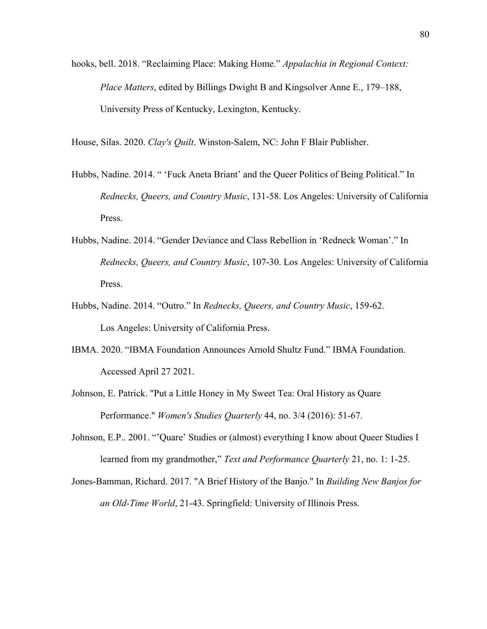hooks, bell. 2018. "Reclaiming Place: Making Home." *Appalachia in Regional Context: Place Matters*, edited by Billings Dwight B and Kingsolver Anne E., 179–188, University Press of Kentucky, Lexington, Kentucky.

House, Silas. 2020. *Clay's Quilt*. Winston-Salem, NC: John F Blair Publisher.

- Hubbs, Nadine. 2014. " 'Fuck Aneta Briant' and the Queer Politics of Being Political." In *Rednecks, Queers, and Country Music*, 131-58. Los Angeles: University of California Press.
- Hubbs, Nadine. 2014. "Gender Deviance and Class Rebellion in 'Redneck Woman'." In *Rednecks, Queers, and Country Music*, 107-30. Los Angeles: University of California Press.
- Hubbs, Nadine. 2014. "Outro." In *Rednecks, Queers, and Country Music*, 159-62. Los Angeles: University of California Press.
- IBMA. 2020. "IBMA Foundation Announces Arnold Shultz Fund." IBMA Foundation. Accessed April 27 2021.
- Johnson, E. Patrick. "Put a Little Honey in My Sweet Tea: Oral History as Quare Performance." *Women's Studies Quarterly* 44, no. 3/4 (2016): 51-67.
- Johnson, E.P.. 2001. "'Quare' Studies or (almost) everything I know about Queer Studies I learned from my grandmother," *Text and Performance Quarterly* 21, no. 1: 1-25.
- Jones-Bamman, Richard. 2017. "A Brief History of the Banjo." In *Building New Banjos for an Old-Time World*, 21-43. Springfield: University of Illinois Press.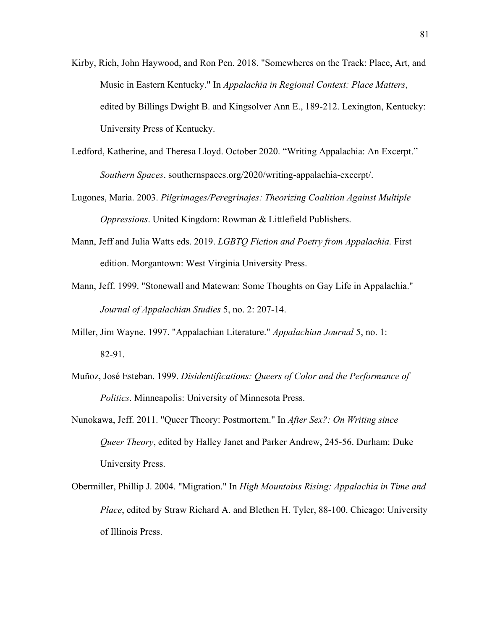- Kirby, Rich, John Haywood, and Ron Pen. 2018. "Somewheres on the Track: Place, Art, and Music in Eastern Kentucky." In *Appalachia in Regional Context: Place Matters*, edited by Billings Dwight B. and Kingsolver Ann E., 189-212. Lexington, Kentucky: University Press of Kentucky.
- Ledford, Katherine, and Theresa Lloyd. October 2020. "Writing Appalachia: An Excerpt." *Southern Spaces*. southernspaces.org/2020/writing-appalachia-excerpt/.
- Lugones, María. 2003. *Pilgrimages/Peregrinajes: Theorizing Coalition Against Multiple Oppressions*. United Kingdom: Rowman & Littlefield Publishers.
- Mann, Jeff and Julia Watts eds. 2019. *LGBTQ Fiction and Poetry from Appalachia.* First edition. Morgantown: West Virginia University Press.
- Mann, Jeff. 1999. "Stonewall and Matewan: Some Thoughts on Gay Life in Appalachia." *Journal of Appalachian Studies* 5, no. 2: 207-14.
- Miller, Jim Wayne. 1997. "Appalachian Literature." *Appalachian Journal* 5, no. 1: 82-91.
- Muñoz, José Esteban. 1999. *Disidentifications: Queers of Color and the Performance of Politics*. Minneapolis: University of Minnesota Press.
- Nunokawa, Jeff. 2011. "Queer Theory: Postmortem." In *After Sex?: On Writing since Queer Theory*, edited by Halley Janet and Parker Andrew, 245-56. Durham: Duke University Press.
- Obermiller, Phillip J. 2004. "Migration." In *High Mountains Rising: Appalachia in Time and Place*, edited by Straw Richard A. and Blethen H. Tyler, 88-100. Chicago: University of Illinois Press.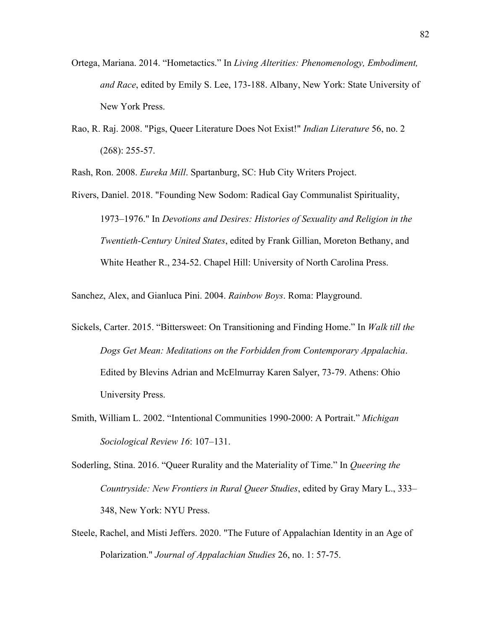- Ortega, Mariana. 2014. "Hometactics." In *Living Alterities: Phenomenology, Embodiment, and Race*, edited by Emily S. Lee, 173-188. Albany, New York: State University of New York Press.
- Rao, R. Raj. 2008. "Pigs, Queer Literature Does Not Exist!" *Indian Literature* 56, no. 2 (268): 255-57.

Rash, Ron. 2008. *Eureka Mill*. Spartanburg, SC: Hub City Writers Project.

Rivers, Daniel. 2018. "Founding New Sodom: Radical Gay Communalist Spirituality, 1973–1976." In *Devotions and Desires: Histories of Sexuality and Religion in the Twentieth-Century United States*, edited by Frank Gillian, Moreton Bethany, and White Heather R., 234-52. Chapel Hill: University of North Carolina Press.

Sanchez, Alex, and Gianluca Pini. 2004. *Rainbow Boys*. Roma: Playground.

- Sickels, Carter. 2015. "Bittersweet: On Transitioning and Finding Home." In *Walk till the Dogs Get Mean: Meditations on the Forbidden from Contemporary Appalachia*. Edited by Blevins Adrian and McElmurray Karen Salyer, 73-79. Athens: Ohio University Press.
- Smith, William L. 2002. "Intentional Communities 1990-2000: A Portrait." *Michigan Sociological Review 16*: 107–131.
- Soderling, Stina. 2016. "Queer Rurality and the Materiality of Time." In *Queering the Countryside: New Frontiers in Rural Queer Studies*, edited by Gray Mary L., 333– 348, New York: NYU Press.
- Steele, Rachel, and Misti Jeffers. 2020. "The Future of Appalachian Identity in an Age of Polarization." *Journal of Appalachian Studies* 26, no. 1: 57-75.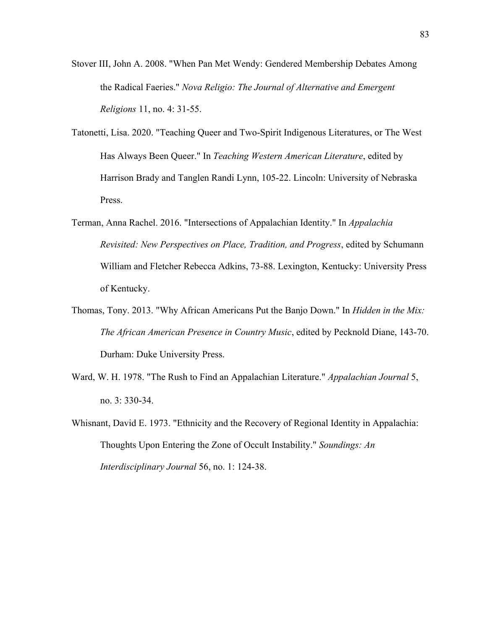- Stover III, John A. 2008. "When Pan Met Wendy: Gendered Membership Debates Among the Radical Faeries." *Nova Religio: The Journal of Alternative and Emergent Religions* 11, no. 4: 31-55.
- Tatonetti, Lisa. 2020. "Teaching Queer and Two-Spirit Indigenous Literatures, or The West Has Always Been Queer." In *Teaching Western American Literature*, edited by Harrison Brady and Tanglen Randi Lynn, 105-22. Lincoln: University of Nebraska Press.
- Terman, Anna Rachel. 2016. "Intersections of Appalachian Identity." In *Appalachia Revisited: New Perspectives on Place, Tradition, and Progress*, edited by Schumann William and Fletcher Rebecca Adkins, 73-88. Lexington, Kentucky: University Press of Kentucky.
- Thomas, Tony. 2013. "Why African Americans Put the Banjo Down." In *Hidden in the Mix: The African American Presence in Country Music*, edited by Pecknold Diane, 143-70. Durham: Duke University Press.
- Ward, W. H. 1978. "The Rush to Find an Appalachian Literature." *Appalachian Journal* 5, no. 3: 330-34.
- Whisnant, David E. 1973. "Ethnicity and the Recovery of Regional Identity in Appalachia: Thoughts Upon Entering the Zone of Occult Instability." *Soundings: An Interdisciplinary Journal* 56, no. 1: 124-38.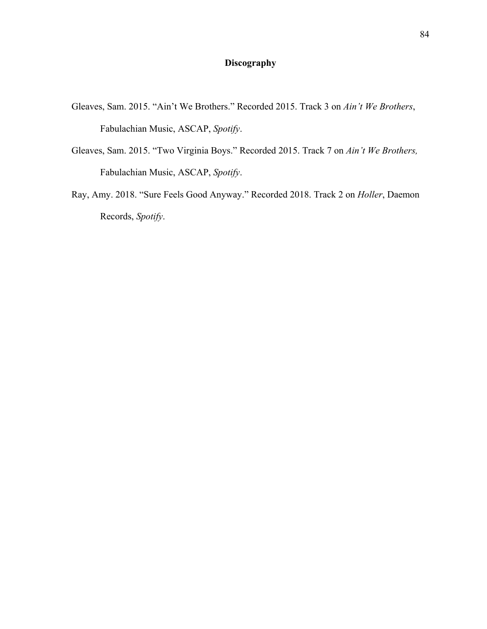# **Discography**

- Gleaves, Sam. 2015. "Ain't We Brothers." Recorded 2015. Track 3 on *Ain't We Brothers*, Fabulachian Music, ASCAP, *Spotify*.
- Gleaves, Sam. 2015. "Two Virginia Boys." Recorded 2015. Track 7 on *Ain't We Brothers,*  Fabulachian Music, ASCAP, *Spotify*.
- Ray, Amy. 2018. "Sure Feels Good Anyway." Recorded 2018. Track 2 on *Holler*, Daemon Records, *Spotify*.